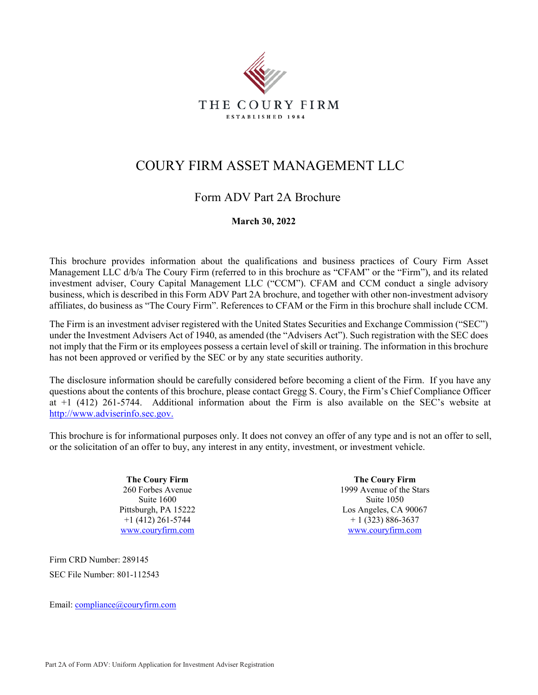

# COURY FIRM ASSET MANAGEMENT LLC

## Form ADV Part 2A Brochure

## **March 30, 2022**

This brochure provides information about the qualifications and business practices of Coury Firm Asset Management LLC d/b/a The Coury Firm (referred to in this brochure as "CFAM" or the "Firm"), and its related investment adviser, Coury Capital Management LLC ("CCM"). CFAM and CCM conduct a single advisory business, which is described in this Form ADV Part 2A brochure, and together with other non-investment advisory affiliates, do business as "The Coury Firm". References to CFAM or the Firm in this brochure shall include CCM.

The Firm is an investment adviser registered with the United States Securities and Exchange Commission ("SEC") under the Investment Advisers Act of 1940, as amended (the "Advisers Act"). Such registration with the SEC does not imply that the Firm or its employees possess a certain level of skill or training. The information in this brochure has not been approved or verified by the SEC or by any state securities authority.

The disclosure information should be carefully considered before becoming a client of the Firm. If you have any questions about the contents of this brochure, please contact Gregg S. Coury, the Firm's Chief Compliance Officer at +1 (412) 261-5744. Additional information about the Firm is also available on the SEC's website at http://www.adviserinfo.sec.gov.

This brochure is for informational purposes only. It does not convey an offer of any type and is not an offer to sell, or the solicitation of an offer to buy, any interest in any entity, investment, or investment vehicle.

> **The Coury Firm**  260 Forbes Avenue Suite 1600 Pittsburgh, PA 15222 +1 (412) 261-5744 www.couryfirm.com

Firm CRD Number: 289145 SEC File Number: 801-112543

Email: compliance@couryfirm.com

**The Coury Firm**  1999 Avenue of the Stars Suite 1050 Los Angeles, CA 90067  $+ 1 (323) 886 - 3637$ www.couryfirm.com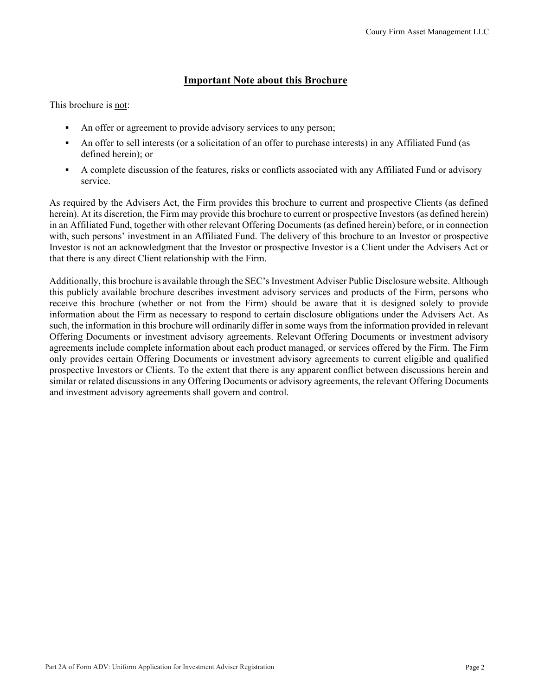## **Important Note about this Brochure**

This brochure is not:

- An offer or agreement to provide advisory services to any person;
- An offer to sell interests (or a solicitation of an offer to purchase interests) in any Affiliated Fund (as defined herein); or
- A complete discussion of the features, risks or conflicts associated with any Affiliated Fund or advisory service.

As required by the Advisers Act, the Firm provides this brochure to current and prospective Clients (as defined herein). At its discretion, the Firm may provide this brochure to current or prospective Investors (as defined herein) in an Affiliated Fund, together with other relevant Offering Documents (as defined herein) before, or in connection with, such persons' investment in an Affiliated Fund. The delivery of this brochure to an Investor or prospective Investor is not an acknowledgment that the Investor or prospective Investor is a Client under the Advisers Act or that there is any direct Client relationship with the Firm.

Additionally, this brochure is available through the SEC's Investment Adviser Public Disclosure website. Although this publicly available brochure describes investment advisory services and products of the Firm, persons who receive this brochure (whether or not from the Firm) should be aware that it is designed solely to provide information about the Firm as necessary to respond to certain disclosure obligations under the Advisers Act. As such, the information in this brochure will ordinarily differ in some ways from the information provided in relevant Offering Documents or investment advisory agreements. Relevant Offering Documents or investment advisory agreements include complete information about each product managed, or services offered by the Firm. The Firm only provides certain Offering Documents or investment advisory agreements to current eligible and qualified prospective Investors or Clients. To the extent that there is any apparent conflict between discussions herein and similar or related discussions in any Offering Documents or advisory agreements, the relevant Offering Documents and investment advisory agreements shall govern and control.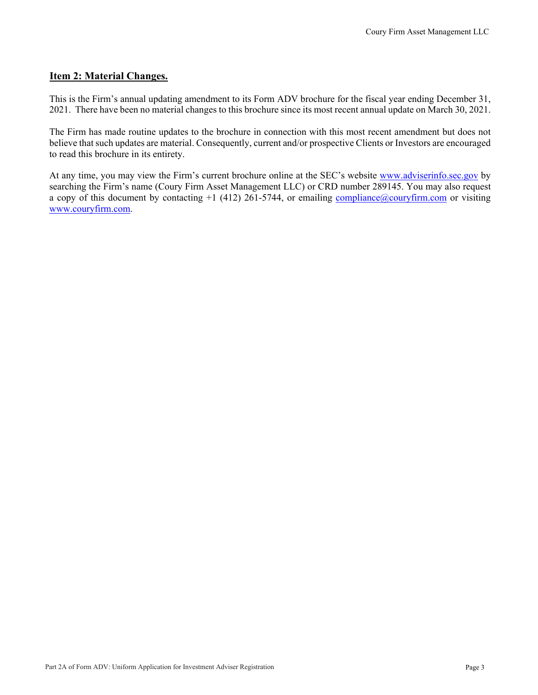#### **Item 2: Material Changes.**

This is the Firm's annual updating amendment to its Form ADV brochure for the fiscal year ending December 31, 2021. There have been no material changes to this brochure since its most recent annual update on March 30, 2021.

The Firm has made routine updates to the brochure in connection with this most recent amendment but does not believe that such updates are material. Consequently, current and/or prospective Clients or Investors are encouraged to read this brochure in its entirety.

At any time, you may view the Firm's current brochure online at the SEC's website www.adviserinfo.sec.gov by searching the Firm's name (Coury Firm Asset Management LLC) or CRD number 289145. You may also request a copy of this document by contacting  $+1$  (412) 261-5744, or emailing compliance  $@$  couryfirm.com or visiting www.couryfirm.com.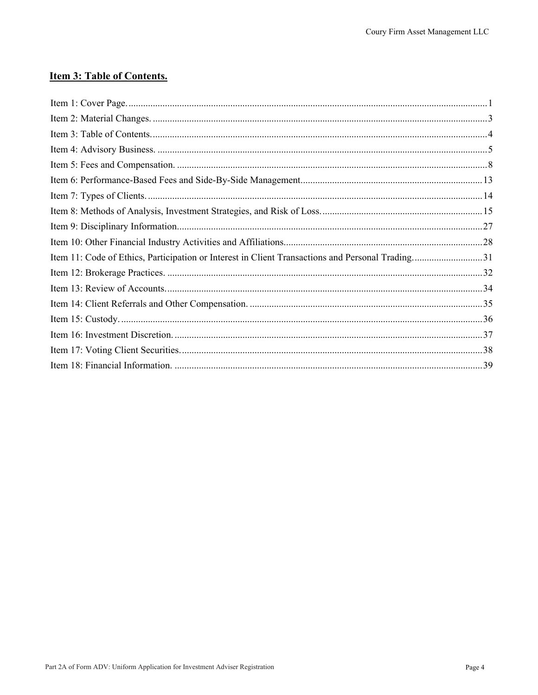## **Item 3: Table of Contents.**

| Item 11: Code of Ethics, Participation or Interest in Client Transactions and Personal Trading31 |  |
|--------------------------------------------------------------------------------------------------|--|
|                                                                                                  |  |
|                                                                                                  |  |
|                                                                                                  |  |
|                                                                                                  |  |
|                                                                                                  |  |
|                                                                                                  |  |
|                                                                                                  |  |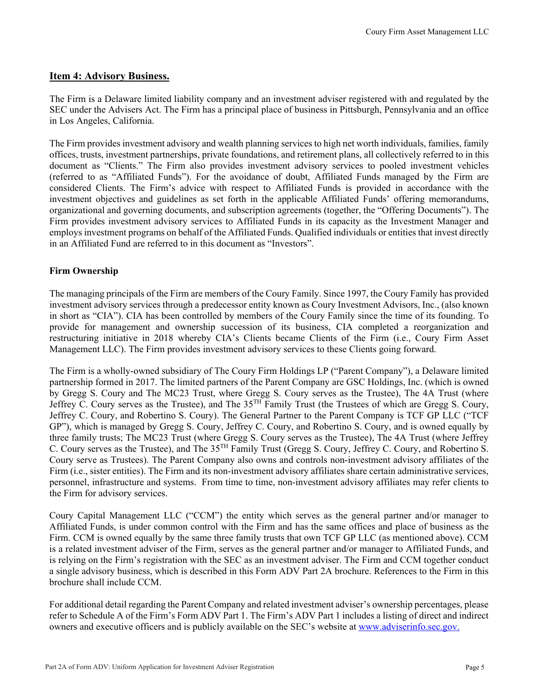#### **Item 4: Advisory Business.**

The Firm is a Delaware limited liability company and an investment adviser registered with and regulated by the SEC under the Advisers Act. The Firm has a principal place of business in Pittsburgh, Pennsylvania and an office in Los Angeles, California.

The Firm provides investment advisory and wealth planning services to high net worth individuals, families, family offices, trusts, investment partnerships, private foundations, and retirement plans, all collectively referred to in this document as "Clients." The Firm also provides investment advisory services to pooled investment vehicles (referred to as "Affiliated Funds"). For the avoidance of doubt, Affiliated Funds managed by the Firm are considered Clients. The Firm's advice with respect to Affiliated Funds is provided in accordance with the investment objectives and guidelines as set forth in the applicable Affiliated Funds' offering memorandums, organizational and governing documents, and subscription agreements (together, the "Offering Documents"). The Firm provides investment advisory services to Affiliated Funds in its capacity as the Investment Manager and employs investment programs on behalf of the Affiliated Funds. Qualified individuals or entities that invest directly in an Affiliated Fund are referred to in this document as "Investors".

#### **Firm Ownership**

The managing principals of the Firm are members of the Coury Family. Since 1997, the Coury Family has provided investment advisory services through a predecessor entity known as Coury Investment Advisors, Inc., (also known in short as "CIA"). CIA has been controlled by members of the Coury Family since the time of its founding. To provide for management and ownership succession of its business, CIA completed a reorganization and restructuring initiative in 2018 whereby CIA's Clients became Clients of the Firm (i.e., Coury Firm Asset Management LLC). The Firm provides investment advisory services to these Clients going forward.

The Firm is a wholly-owned subsidiary of The Coury Firm Holdings LP ("Parent Company"), a Delaware limited partnership formed in 2017. The limited partners of the Parent Company are GSC Holdings, Inc. (which is owned by Gregg S. Coury and The MC23 Trust, where Gregg S. Coury serves as the Trustee), The 4A Trust (where Jeffrey C. Coury serves as the Trustee), and The 35TH Family Trust (the Trustees of which are Gregg S. Coury, Jeffrey C. Coury, and Robertino S. Coury). The General Partner to the Parent Company is TCF GP LLC ("TCF GP"), which is managed by Gregg S. Coury, Jeffrey C. Coury, and Robertino S. Coury, and is owned equally by three family trusts; The MC23 Trust (where Gregg S. Coury serves as the Trustee), The 4A Trust (where Jeffrey C. Coury serves as the Trustee), and The 35TH Family Trust (Gregg S. Coury, Jeffrey C. Coury, and Robertino S. Coury serve as Trustees). The Parent Company also owns and controls non-investment advisory affiliates of the Firm (i.e., sister entities). The Firm and its non-investment advisory affiliates share certain administrative services, personnel, infrastructure and systems. From time to time, non-investment advisory affiliates may refer clients to the Firm for advisory services.

Coury Capital Management LLC ("CCM") the entity which serves as the general partner and/or manager to Affiliated Funds, is under common control with the Firm and has the same offices and place of business as the Firm. CCM is owned equally by the same three family trusts that own TCF GP LLC (as mentioned above). CCM is a related investment adviser of the Firm, serves as the general partner and/or manager to Affiliated Funds, and is relying on the Firm's registration with the SEC as an investment adviser. The Firm and CCM together conduct a single advisory business, which is described in this Form ADV Part 2A brochure. References to the Firm in this brochure shall include CCM.

For additional detail regarding the Parent Company and related investment adviser's ownership percentages, please refer to Schedule A of the Firm's Form ADV Part 1. The Firm's ADV Part 1 includes a listing of direct and indirect owners and executive officers and is publicly available on the SEC's website at www.adviserinfo.sec.gov.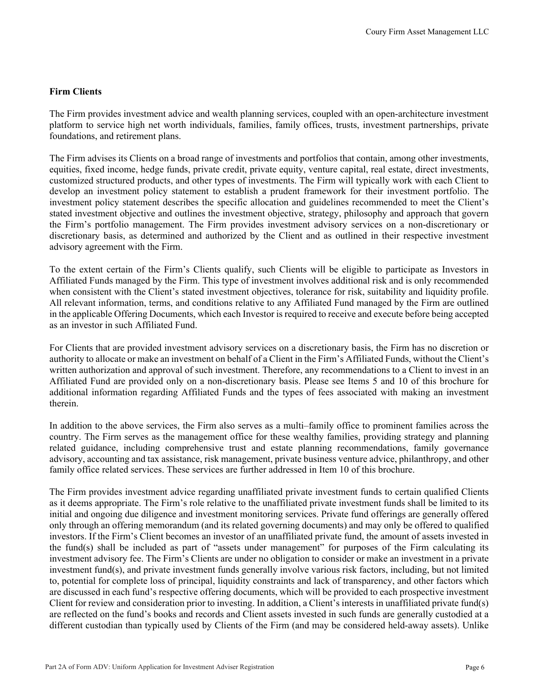#### **Firm Clients**

The Firm provides investment advice and wealth planning services, coupled with an open-architecture investment platform to service high net worth individuals, families, family offices, trusts, investment partnerships, private foundations, and retirement plans.

The Firm advises its Clients on a broad range of investments and portfolios that contain, among other investments, equities, fixed income, hedge funds, private credit, private equity, venture capital, real estate, direct investments, customized structured products, and other types of investments. The Firm will typically work with each Client to develop an investment policy statement to establish a prudent framework for their investment portfolio. The investment policy statement describes the specific allocation and guidelines recommended to meet the Client's stated investment objective and outlines the investment objective, strategy, philosophy and approach that govern the Firm's portfolio management. The Firm provides investment advisory services on a non-discretionary or discretionary basis, as determined and authorized by the Client and as outlined in their respective investment advisory agreement with the Firm.

To the extent certain of the Firm's Clients qualify, such Clients will be eligible to participate as Investors in Affiliated Funds managed by the Firm. This type of investment involves additional risk and is only recommended when consistent with the Client's stated investment objectives, tolerance for risk, suitability and liquidity profile. All relevant information, terms, and conditions relative to any Affiliated Fund managed by the Firm are outlined in the applicable Offering Documents, which each Investor is required to receive and execute before being accepted as an investor in such Affiliated Fund.

For Clients that are provided investment advisory services on a discretionary basis, the Firm has no discretion or authority to allocate or make an investment on behalf of a Client in the Firm's Affiliated Funds, without the Client's written authorization and approval of such investment. Therefore, any recommendations to a Client to invest in an Affiliated Fund are provided only on a non-discretionary basis. Please see Items 5 and 10 of this brochure for additional information regarding Affiliated Funds and the types of fees associated with making an investment therein.

In addition to the above services, the Firm also serves as a multi–family office to prominent families across the country. The Firm serves as the management office for these wealthy families, providing strategy and planning related guidance, including comprehensive trust and estate planning recommendations, family governance advisory, accounting and tax assistance, risk management, private business venture advice, philanthropy, and other family office related services. These services are further addressed in Item 10 of this brochure.

The Firm provides investment advice regarding unaffiliated private investment funds to certain qualified Clients as it deems appropriate. The Firm's role relative to the unaffiliated private investment funds shall be limited to its initial and ongoing due diligence and investment monitoring services. Private fund offerings are generally offered only through an offering memorandum (and its related governing documents) and may only be offered to qualified investors. If the Firm's Client becomes an investor of an unaffiliated private fund, the amount of assets invested in the fund(s) shall be included as part of "assets under management" for purposes of the Firm calculating its investment advisory fee. The Firm's Clients are under no obligation to consider or make an investment in a private investment fund(s), and private investment funds generally involve various risk factors, including, but not limited to, potential for complete loss of principal, liquidity constraints and lack of transparency, and other factors which are discussed in each fund's respective offering documents, which will be provided to each prospective investment Client for review and consideration prior to investing. In addition, a Client's interests in unaffiliated private fund(s) are reflected on the fund's books and records and Client assets invested in such funds are generally custodied at a different custodian than typically used by Clients of the Firm (and may be considered held-away assets). Unlike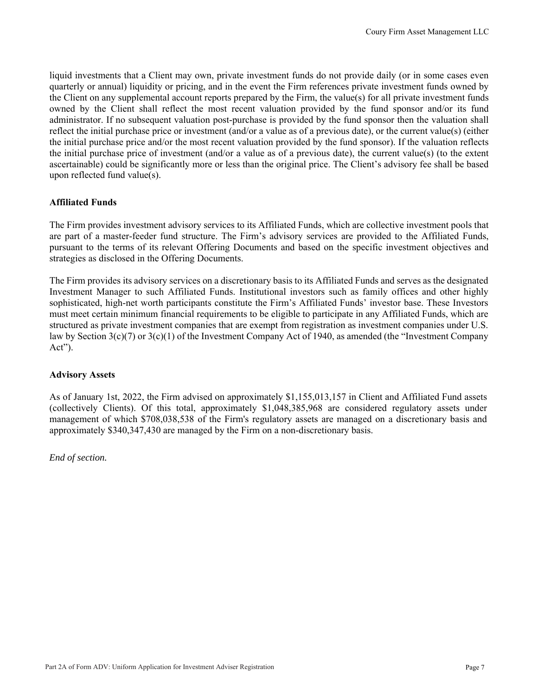liquid investments that a Client may own, private investment funds do not provide daily (or in some cases even quarterly or annual) liquidity or pricing, and in the event the Firm references private investment funds owned by the Client on any supplemental account reports prepared by the Firm, the value(s) for all private investment funds owned by the Client shall reflect the most recent valuation provided by the fund sponsor and/or its fund administrator. If no subsequent valuation post-purchase is provided by the fund sponsor then the valuation shall reflect the initial purchase price or investment (and/or a value as of a previous date), or the current value(s) (either the initial purchase price and/or the most recent valuation provided by the fund sponsor). If the valuation reflects the initial purchase price of investment (and/or a value as of a previous date), the current value(s) (to the extent ascertainable) could be significantly more or less than the original price. The Client's advisory fee shall be based upon reflected fund value(s).

#### **Affiliated Funds**

The Firm provides investment advisory services to its Affiliated Funds, which are collective investment pools that are part of a master-feeder fund structure. The Firm's advisory services are provided to the Affiliated Funds, pursuant to the terms of its relevant Offering Documents and based on the specific investment objectives and strategies as disclosed in the Offering Documents.

The Firm provides its advisory services on a discretionary basis to its Affiliated Funds and serves as the designated Investment Manager to such Affiliated Funds. Institutional investors such as family offices and other highly sophisticated, high-net worth participants constitute the Firm's Affiliated Funds' investor base. These Investors must meet certain minimum financial requirements to be eligible to participate in any Affiliated Funds, which are structured as private investment companies that are exempt from registration as investment companies under U.S. law by Section 3(c)(7) or 3(c)(1) of the Investment Company Act of 1940, as amended (the "Investment Company Act").

#### **Advisory Assets**

As of January 1st, 2022, the Firm advised on approximately \$1,155,013,157 in Client and Affiliated Fund assets (collectively Clients). Of this total, approximately \$1,048,385,968 are considered regulatory assets under management of which \$708,038,538 of the Firm's regulatory assets are managed on a discretionary basis and approximately \$340,347,430 are managed by the Firm on a non-discretionary basis.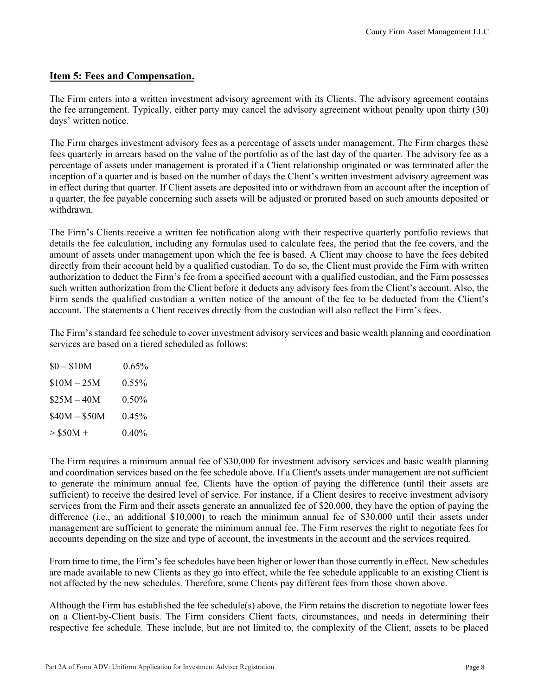## **Item 5: Fees and Compensation.**

The Firm enters into a written investment advisory agreement with its Clients. The advisory agreement contains the fee arrangement. Typically, either party may cancel the advisory agreement without penalty upon thirty (30) days' written notice.

The Firm charges investment advisory fees as a percentage of assets under management. The Firm charges these fees quarterly in arrears based on the value of the portfolio as of the last day of the quarter. The advisory fee as a percentage of assets under management is prorated if a Client relationship originated or was terminated after the inception of a quarter and is based on the number of days the Client's written investment advisory agreement was in effect during that quarter. If Client assets are deposited into or withdrawn from an account after the inception of a quarter, the fee payable concerning such assets will be adjusted or prorated based on such amounts deposited or withdrawn.

The Firm's Clients receive a written fee notification along with their respective quarterly portfolio reviews that details the fee calculation, including any formulas used to calculate fees, the period that the fee covers, and the amount of assets under management upon which the fee is based. A Client may choose to have the fees debited directly from their account held by a qualified custodian. To do so, the Client must provide the Firm with written authorization to deduct the Firm's fee from a specified account with a qualified custodian, and the Firm possesses such written authorization from the Client before it deducts any advisory fees from the Client's account. Also, the Firm sends the qualified custodian a written notice of the amount of the fee to be deducted from the Client's account. The statements a Client receives directly from the custodian will also reflect the Firm's fees.

The Firm's standard fee schedule to cover investment advisory services and basic wealth planning and coordination services are based on a tiered scheduled as follows:

| $$0 - $10M$$  | $0.65\%$ |
|---------------|----------|
| $$10M - 25M$  | $0.55\%$ |
| $$25M - 40M$  | 0.50%    |
| $$40M - $50M$ | 0.45%    |
| $> $50M +$    | 0.40%    |

The Firm requires a minimum annual fee of \$30,000 for investment advisory services and basic wealth planning and coordination services based on the fee schedule above. If a Client's assets under management are not sufficient to generate the minimum annual fee, Clients have the option of paying the difference (until their assets are sufficient) to receive the desired level of service. For instance, if a Client desires to receive investment advisory services from the Firm and their assets generate an annualized fee of \$20,000, they have the option of paying the difference (i.e., an additional \$10,000) to reach the minimum annual fee of \$30,000 until their assets under management are sufficient to generate the minimum annual fee. The Firm reserves the right to negotiate fees for accounts depending on the size and type of account, the investments in the account and the services required.

From time to time, the Firm's fee schedules have been higher or lower than those currently in effect. New schedules are made available to new Clients as they go into effect, while the fee schedule applicable to an existing Client is not affected by the new schedules. Therefore, some Clients pay different fees from those shown above.

Although the Firm has established the fee schedule(s) above, the Firm retains the discretion to negotiate lower fees on a Client-by-Client basis. The Firm considers Client facts, circumstances, and needs in determining their respective fee schedule. These include, but are not limited to, the complexity of the Client, assets to be placed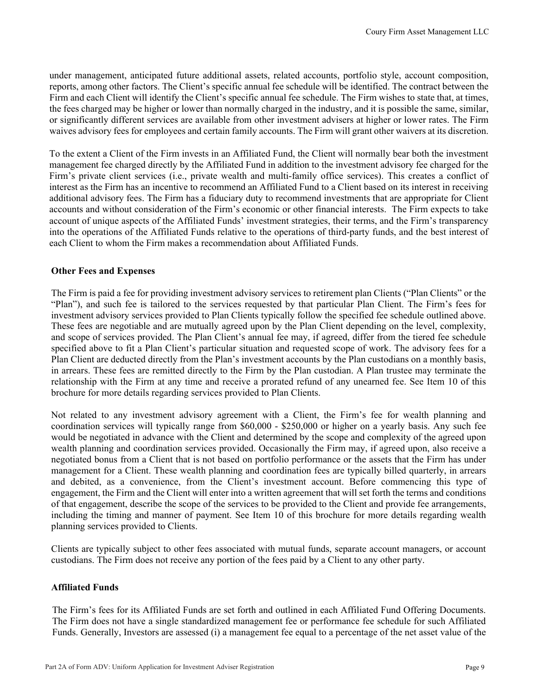under management, anticipated future additional assets, related accounts, portfolio style, account composition, reports, among other factors. The Client's specific annual fee schedule will be identified. The contract between the Firm and each Client will identify the Client's specific annual fee schedule. The Firm wishes to state that, at times, the fees charged may be higher or lower than normally charged in the industry, and it is possible the same, similar, or significantly different services are available from other investment advisers at higher or lower rates. The Firm waives advisory fees for employees and certain family accounts. The Firm will grant other waivers at its discretion.

To the extent a Client of the Firm invests in an Affiliated Fund, the Client will normally bear both the investment management fee charged directly by the Affiliated Fund in addition to the investment advisory fee charged for the Firm's private client services (i.e., private wealth and multi-family office services). This creates a conflict of interest as the Firm has an incentive to recommend an Affiliated Fund to a Client based on its interest in receiving additional advisory fees. The Firm has a fiduciary duty to recommend investments that are appropriate for Client accounts and without consideration of the Firm's economic or other financial interests. The Firm expects to take account of unique aspects of the Affiliated Funds' investment strategies, their terms, and the Firm's transparency into the operations of the Affiliated Funds relative to the operations of third-party funds, and the best interest of each Client to whom the Firm makes a recommendation about Affiliated Funds.

#### **Other Fees and Expenses**

The Firm is paid a fee for providing investment advisory services to retirement plan Clients ("Plan Clients" or the "Plan"), and such fee is tailored to the services requested by that particular Plan Client. The Firm's fees for investment advisory services provided to Plan Clients typically follow the specified fee schedule outlined above. These fees are negotiable and are mutually agreed upon by the Plan Client depending on the level, complexity, and scope of services provided. The Plan Client's annual fee may, if agreed, differ from the tiered fee schedule specified above to fit a Plan Client's particular situation and requested scope of work. The advisory fees for a Plan Client are deducted directly from the Plan's investment accounts by the Plan custodians on a monthly basis, in arrears. These fees are remitted directly to the Firm by the Plan custodian. A Plan trustee may terminate the relationship with the Firm at any time and receive a prorated refund of any unearned fee. See Item 10 of this brochure for more details regarding services provided to Plan Clients.

Not related to any investment advisory agreement with a Client, the Firm's fee for wealth planning and coordination services will typically range from \$60,000 - \$250,000 or higher on a yearly basis. Any such fee would be negotiated in advance with the Client and determined by the scope and complexity of the agreed upon wealth planning and coordination services provided. Occasionally the Firm may, if agreed upon, also receive a negotiated bonus from a Client that is not based on portfolio performance or the assets that the Firm has under management for a Client. These wealth planning and coordination fees are typically billed quarterly, in arrears and debited, as a convenience, from the Client's investment account. Before commencing this type of engagement, the Firm and the Client will enter into a written agreement that will set forth the terms and conditions of that engagement, describe the scope of the services to be provided to the Client and provide fee arrangements, including the timing and manner of payment. See Item 10 of this brochure for more details regarding wealth planning services provided to Clients.

Clients are typically subject to other fees associated with mutual funds, separate account managers, or account custodians. The Firm does not receive any portion of the fees paid by a Client to any other party.

#### **Affiliated Funds**

The Firm's fees for its Affiliated Funds are set forth and outlined in each Affiliated Fund Offering Documents. The Firm does not have a single standardized management fee or performance fee schedule for such Affiliated Funds. Generally, Investors are assessed (i) a management fee equal to a percentage of the net asset value of the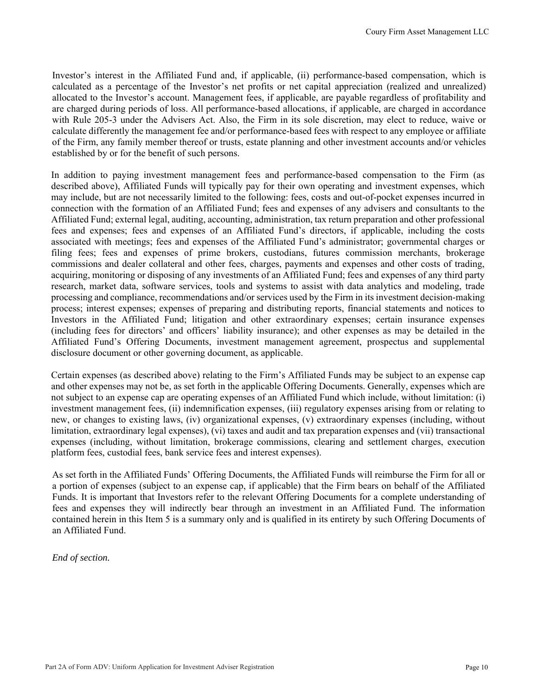Investor's interest in the Affiliated Fund and, if applicable, (ii) performance-based compensation, which is calculated as a percentage of the Investor's net profits or net capital appreciation (realized and unrealized) allocated to the Investor's account. Management fees, if applicable, are payable regardless of profitability and are charged during periods of loss. All performance-based allocations, if applicable, are charged in accordance with Rule 205-3 under the Advisers Act. Also, the Firm in its sole discretion, may elect to reduce, waive or calculate differently the management fee and/or performance-based fees with respect to any employee or affiliate of the Firm, any family member thereof or trusts, estate planning and other investment accounts and/or vehicles established by or for the benefit of such persons.

In addition to paying investment management fees and performance-based compensation to the Firm (as described above), Affiliated Funds will typically pay for their own operating and investment expenses, which may include, but are not necessarily limited to the following: fees, costs and out-of-pocket expenses incurred in connection with the formation of an Affiliated Fund; fees and expenses of any advisers and consultants to the Affiliated Fund; external legal, auditing, accounting, administration, tax return preparation and other professional fees and expenses; fees and expenses of an Affiliated Fund's directors, if applicable, including the costs associated with meetings; fees and expenses of the Affiliated Fund's administrator; governmental charges or filing fees; fees and expenses of prime brokers, custodians, futures commission merchants, brokerage commissions and dealer collateral and other fees, charges, payments and expenses and other costs of trading, acquiring, monitoring or disposing of any investments of an Affiliated Fund; fees and expenses of any third party research, market data, software services, tools and systems to assist with data analytics and modeling, trade processing and compliance, recommendations and/or services used by the Firm in its investment decision-making process; interest expenses; expenses of preparing and distributing reports, financial statements and notices to Investors in the Affiliated Fund; litigation and other extraordinary expenses; certain insurance expenses (including fees for directors' and officers' liability insurance); and other expenses as may be detailed in the Affiliated Fund's Offering Documents, investment management agreement, prospectus and supplemental disclosure document or other governing document, as applicable.

Certain expenses (as described above) relating to the Firm's Affiliated Funds may be subject to an expense cap and other expenses may not be, as set forth in the applicable Offering Documents. Generally, expenses which are not subject to an expense cap are operating expenses of an Affiliated Fund which include, without limitation: (i) investment management fees, (ii) indemnification expenses, (iii) regulatory expenses arising from or relating to new, or changes to existing laws, (iv) organizational expenses, (v) extraordinary expenses (including, without limitation, extraordinary legal expenses), (vi) taxes and audit and tax preparation expenses and (vii) transactional expenses (including, without limitation, brokerage commissions, clearing and settlement charges, execution platform fees, custodial fees, bank service fees and interest expenses).

As set forth in the Affiliated Funds' Offering Documents, the Affiliated Funds will reimburse the Firm for all or a portion of expenses (subject to an expense cap, if applicable) that the Firm bears on behalf of the Affiliated Funds. It is important that Investors refer to the relevant Offering Documents for a complete understanding of fees and expenses they will indirectly bear through an investment in an Affiliated Fund. The information contained herein in this Item 5 is a summary only and is qualified in its entirety by such Offering Documents of an Affiliated Fund.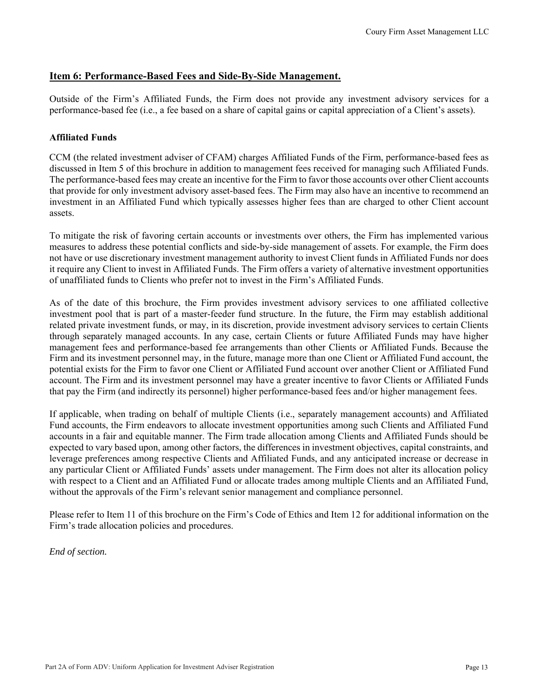#### **Item 6: Performance-Based Fees and Side-By-Side Management.**

Outside of the Firm's Affiliated Funds, the Firm does not provide any investment advisory services for a performance-based fee (i.e., a fee based on a share of capital gains or capital appreciation of a Client's assets).

#### **Affiliated Funds**

CCM (the related investment adviser of CFAM) charges Affiliated Funds of the Firm, performance-based fees as discussed in Item 5 of this brochure in addition to management fees received for managing such Affiliated Funds. The performance-based fees may create an incentive for the Firm to favor those accounts over other Client accounts that provide for only investment advisory asset-based fees. The Firm may also have an incentive to recommend an investment in an Affiliated Fund which typically assesses higher fees than are charged to other Client account assets.

To mitigate the risk of favoring certain accounts or investments over others, the Firm has implemented various measures to address these potential conflicts and side-by-side management of assets. For example, the Firm does not have or use discretionary investment management authority to invest Client funds in Affiliated Funds nor does it require any Client to invest in Affiliated Funds. The Firm offers a variety of alternative investment opportunities of unaffiliated funds to Clients who prefer not to invest in the Firm's Affiliated Funds.

As of the date of this brochure, the Firm provides investment advisory services to one affiliated collective investment pool that is part of a master-feeder fund structure. In the future, the Firm may establish additional related private investment funds, or may, in its discretion, provide investment advisory services to certain Clients through separately managed accounts. In any case, certain Clients or future Affiliated Funds may have higher management fees and performance-based fee arrangements than other Clients or Affiliated Funds. Because the Firm and its investment personnel may, in the future, manage more than one Client or Affiliated Fund account, the potential exists for the Firm to favor one Client or Affiliated Fund account over another Client or Affiliated Fund account. The Firm and its investment personnel may have a greater incentive to favor Clients or Affiliated Funds that pay the Firm (and indirectly its personnel) higher performance-based fees and/or higher management fees.

If applicable, when trading on behalf of multiple Clients (i.e., separately management accounts) and Affiliated Fund accounts, the Firm endeavors to allocate investment opportunities among such Clients and Affiliated Fund accounts in a fair and equitable manner. The Firm trade allocation among Clients and Affiliated Funds should be expected to vary based upon, among other factors, the differences in investment objectives, capital constraints, and leverage preferences among respective Clients and Affiliated Funds, and any anticipated increase or decrease in any particular Client or Affiliated Funds' assets under management. The Firm does not alter its allocation policy with respect to a Client and an Affiliated Fund or allocate trades among multiple Clients and an Affiliated Fund, without the approvals of the Firm's relevant senior management and compliance personnel.

Please refer to Item 11 of this brochure on the Firm's Code of Ethics and Item 12 for additional information on the Firm's trade allocation policies and procedures.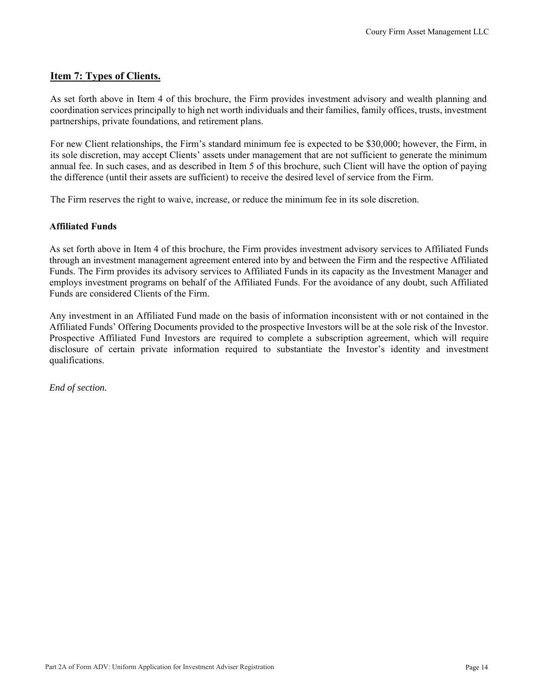#### **Item 7: Types of Clients.**

As set forth above in Item 4 of this brochure, the Firm provides investment advisory and wealth planning and coordination services principally to high net worth individuals and their families, family offices, trusts, investment partnerships, private foundations, and retirement plans.

For new Client relationships, the Firm's standard minimum fee is expected to be \$30,000; however, the Firm, in its sole discretion, may accept Clients' assets under management that are not sufficient to generate the minimum annual fee. In such cases, and as described in Item 5 of this brochure, such Client will have the option of paying the difference (until their assets are sufficient) to receive the desired level of service from the Firm.

The Firm reserves the right to waive, increase, or reduce the minimum fee in its sole discretion.

#### **Affiliated Funds**

As set forth above in Item 4 of this brochure, the Firm provides investment advisory services to Affiliated Funds through an investment management agreement entered into by and between the Firm and the respective Affiliated Funds. The Firm provides its advisory services to Affiliated Funds in its capacity as the Investment Manager and employs investment programs on behalf of the Affiliated Funds. For the avoidance of any doubt, such Affiliated Funds are considered Clients of the Firm.

Any investment in an Affiliated Fund made on the basis of information inconsistent with or not contained in the Affiliated Funds' Offering Documents provided to the prospective Investors will be at the sole risk of the Investor. Prospective Affiliated Fund Investors are required to complete a subscription agreement, which will require disclosure of certain private information required to substantiate the Investor's identity and investment qualifications.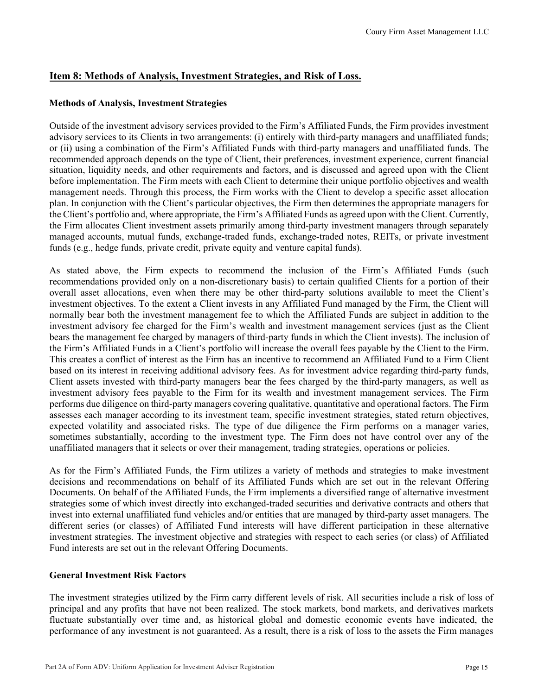## **Item 8: Methods of Analysis, Investment Strategies, and Risk of Loss.**

#### **Methods of Analysis, Investment Strategies**

Outside of the investment advisory services provided to the Firm's Affiliated Funds, the Firm provides investment advisory services to its Clients in two arrangements: (i) entirely with third-party managers and unaffiliated funds; or (ii) using a combination of the Firm's Affiliated Funds with third-party managers and unaffiliated funds. The recommended approach depends on the type of Client, their preferences, investment experience, current financial situation, liquidity needs, and other requirements and factors, and is discussed and agreed upon with the Client before implementation. The Firm meets with each Client to determine their unique portfolio objectives and wealth management needs. Through this process, the Firm works with the Client to develop a specific asset allocation plan. In conjunction with the Client's particular objectives, the Firm then determines the appropriate managers for the Client's portfolio and, where appropriate, the Firm's Affiliated Funds as agreed upon with the Client. Currently, the Firm allocates Client investment assets primarily among third-party investment managers through separately managed accounts, mutual funds, exchange-traded funds, exchange-traded notes, REITs, or private investment funds (e.g., hedge funds, private credit, private equity and venture capital funds).

As stated above, the Firm expects to recommend the inclusion of the Firm's Affiliated Funds (such recommendations provided only on a non-discretionary basis) to certain qualified Clients for a portion of their overall asset allocations, even when there may be other third-party solutions available to meet the Client's investment objectives. To the extent a Client invests in any Affiliated Fund managed by the Firm, the Client will normally bear both the investment management fee to which the Affiliated Funds are subject in addition to the investment advisory fee charged for the Firm's wealth and investment management services (just as the Client bears the management fee charged by managers of third-party funds in which the Client invests). The inclusion of the Firm's Affiliated Funds in a Client's portfolio will increase the overall fees payable by the Client to the Firm. This creates a conflict of interest as the Firm has an incentive to recommend an Affiliated Fund to a Firm Client based on its interest in receiving additional advisory fees. As for investment advice regarding third-party funds, Client assets invested with third-party managers bear the fees charged by the third-party managers, as well as investment advisory fees payable to the Firm for its wealth and investment management services. The Firm performs due diligence on third-party managers covering qualitative, quantitative and operational factors. The Firm assesses each manager according to its investment team, specific investment strategies, stated return objectives, expected volatility and associated risks. The type of due diligence the Firm performs on a manager varies, sometimes substantially, according to the investment type. The Firm does not have control over any of the unaffiliated managers that it selects or over their management, trading strategies, operations or policies.

As for the Firm's Affiliated Funds, the Firm utilizes a variety of methods and strategies to make investment decisions and recommendations on behalf of its Affiliated Funds which are set out in the relevant Offering Documents. On behalf of the Affiliated Funds, the Firm implements a diversified range of alternative investment strategies some of which invest directly into exchanged-traded securities and derivative contracts and others that invest into external unaffiliated fund vehicles and/or entities that are managed by third-party asset managers. The different series (or classes) of Affiliated Fund interests will have different participation in these alternative investment strategies. The investment objective and strategies with respect to each series (or class) of Affiliated Fund interests are set out in the relevant Offering Documents.

#### **General Investment Risk Factors**

The investment strategies utilized by the Firm carry different levels of risk. All securities include a risk of loss of principal and any profits that have not been realized. The stock markets, bond markets, and derivatives markets fluctuate substantially over time and, as historical global and domestic economic events have indicated, the performance of any investment is not guaranteed. As a result, there is a risk of loss to the assets the Firm manages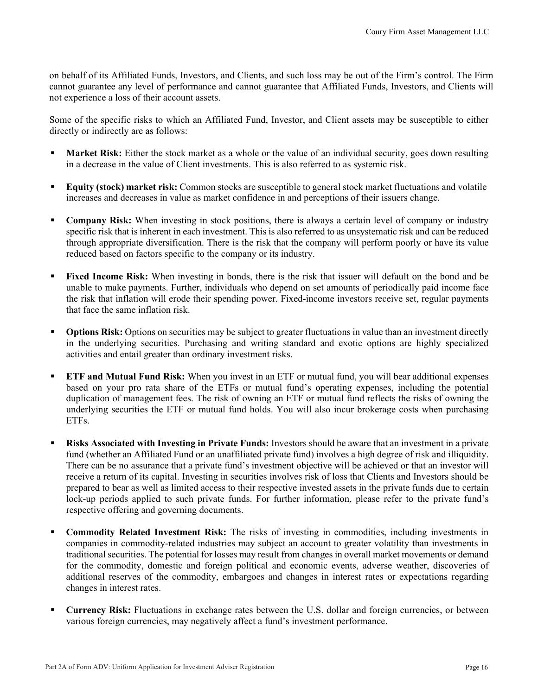on behalf of its Affiliated Funds, Investors, and Clients, and such loss may be out of the Firm's control. The Firm cannot guarantee any level of performance and cannot guarantee that Affiliated Funds, Investors, and Clients will not experience a loss of their account assets.

Some of the specific risks to which an Affiliated Fund, Investor, and Client assets may be susceptible to either directly or indirectly are as follows:

- **Market Risk:** Either the stock market as a whole or the value of an individual security, goes down resulting in a decrease in the value of Client investments. This is also referred to as systemic risk.
- **Equity (stock) market risk:** Common stocks are susceptible to general stock market fluctuations and volatile increases and decreases in value as market confidence in and perceptions of their issuers change.
- **Company Risk:** When investing in stock positions, there is always a certain level of company or industry specific risk that is inherent in each investment. This is also referred to as unsystematic risk and can be reduced through appropriate diversification. There is the risk that the company will perform poorly or have its value reduced based on factors specific to the company or its industry.
- **Fixed Income Risk:** When investing in bonds, there is the risk that issuer will default on the bond and be unable to make payments. Further, individuals who depend on set amounts of periodically paid income face the risk that inflation will erode their spending power. Fixed-income investors receive set, regular payments that face the same inflation risk.
- **Options Risk:** Options on securities may be subject to greater fluctuations in value than an investment directly in the underlying securities. Purchasing and writing standard and exotic options are highly specialized activities and entail greater than ordinary investment risks.
- **ETF and Mutual Fund Risk:** When you invest in an ETF or mutual fund, you will bear additional expenses based on your pro rata share of the ETFs or mutual fund's operating expenses, including the potential duplication of management fees. The risk of owning an ETF or mutual fund reflects the risks of owning the underlying securities the ETF or mutual fund holds. You will also incur brokerage costs when purchasing ETFs.
- **Risks Associated with Investing in Private Funds:** Investors should be aware that an investment in a private fund (whether an Affiliated Fund or an unaffiliated private fund) involves a high degree of risk and illiquidity. There can be no assurance that a private fund's investment objective will be achieved or that an investor will receive a return of its capital. Investing in securities involves risk of loss that Clients and Investors should be prepared to bear as well as limited access to their respective invested assets in the private funds due to certain lock-up periods applied to such private funds. For further information, please refer to the private fund's respective offering and governing documents.
- **Commodity Related Investment Risk:** The risks of investing in commodities, including investments in companies in commodity-related industries may subject an account to greater volatility than investments in traditional securities. The potential for losses may result from changes in overall market movements or demand for the commodity, domestic and foreign political and economic events, adverse weather, discoveries of additional reserves of the commodity, embargoes and changes in interest rates or expectations regarding changes in interest rates.
- **Currency Risk:** Fluctuations in exchange rates between the U.S. dollar and foreign currencies, or between various foreign currencies, may negatively affect a fund's investment performance.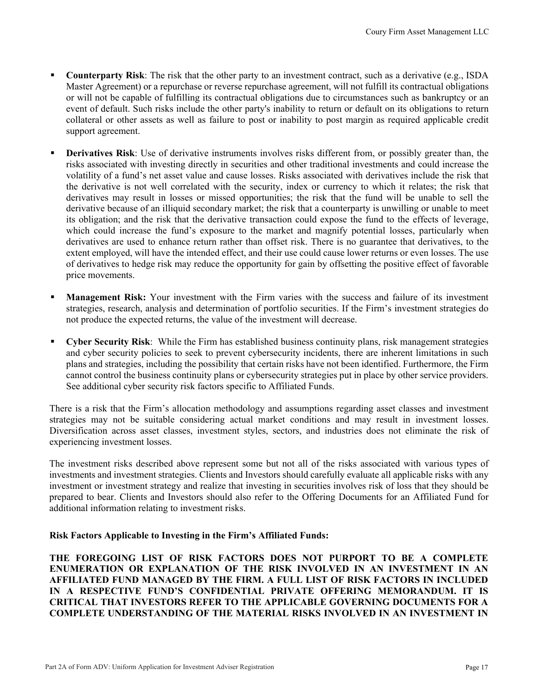- **Counterparty Risk**: The risk that the other party to an investment contract, such as a derivative (e.g., ISDA Master Agreement) or a repurchase or reverse repurchase agreement, will not fulfill its contractual obligations or will not be capable of fulfilling its contractual obligations due to circumstances such as bankruptcy or an event of default. Such risks include the other party's inability to return or default on its obligations to return collateral or other assets as well as failure to post or inability to post margin as required applicable credit support agreement.
- **Derivatives Risk**: Use of derivative instruments involves risks different from, or possibly greater than, the risks associated with investing directly in securities and other traditional investments and could increase the volatility of a fund's net asset value and cause losses. Risks associated with derivatives include the risk that the derivative is not well correlated with the security, index or currency to which it relates; the risk that derivatives may result in losses or missed opportunities; the risk that the fund will be unable to sell the derivative because of an illiquid secondary market; the risk that a counterparty is unwilling or unable to meet its obligation; and the risk that the derivative transaction could expose the fund to the effects of leverage, which could increase the fund's exposure to the market and magnify potential losses, particularly when derivatives are used to enhance return rather than offset risk. There is no guarantee that derivatives, to the extent employed, will have the intended effect, and their use could cause lower returns or even losses. The use of derivatives to hedge risk may reduce the opportunity for gain by offsetting the positive effect of favorable price movements.
- **Management Risk:** Your investment with the Firm varies with the success and failure of its investment strategies, research, analysis and determination of portfolio securities. If the Firm's investment strategies do not produce the expected returns, the value of the investment will decrease.
- **Cyber Security Risk**: While the Firm has established business continuity plans, risk management strategies and cyber security policies to seek to prevent cybersecurity incidents, there are inherent limitations in such plans and strategies, including the possibility that certain risks have not been identified. Furthermore, the Firm cannot control the business continuity plans or cybersecurity strategies put in place by other service providers. See additional cyber security risk factors specific to Affiliated Funds.

There is a risk that the Firm's allocation methodology and assumptions regarding asset classes and investment strategies may not be suitable considering actual market conditions and may result in investment losses. Diversification across asset classes, investment styles, sectors, and industries does not eliminate the risk of experiencing investment losses.

The investment risks described above represent some but not all of the risks associated with various types of investments and investment strategies. Clients and Investors should carefully evaluate all applicable risks with any investment or investment strategy and realize that investing in securities involves risk of loss that they should be prepared to bear. Clients and Investors should also refer to the Offering Documents for an Affiliated Fund for additional information relating to investment risks.

#### **Risk Factors Applicable to Investing in the Firm's Affiliated Funds:**

**THE FOREGOING LIST OF RISK FACTORS DOES NOT PURPORT TO BE A COMPLETE ENUMERATION OR EXPLANATION OF THE RISK INVOLVED IN AN INVESTMENT IN AN AFFILIATED FUND MANAGED BY THE FIRM. A FULL LIST OF RISK FACTORS IN INCLUDED IN A RESPECTIVE FUND'S CONFIDENTIAL PRIVATE OFFERING MEMORANDUM. IT IS CRITICAL THAT INVESTORS REFER TO THE APPLICABLE GOVERNING DOCUMENTS FOR A COMPLETE UNDERSTANDING OF THE MATERIAL RISKS INVOLVED IN AN INVESTMENT IN**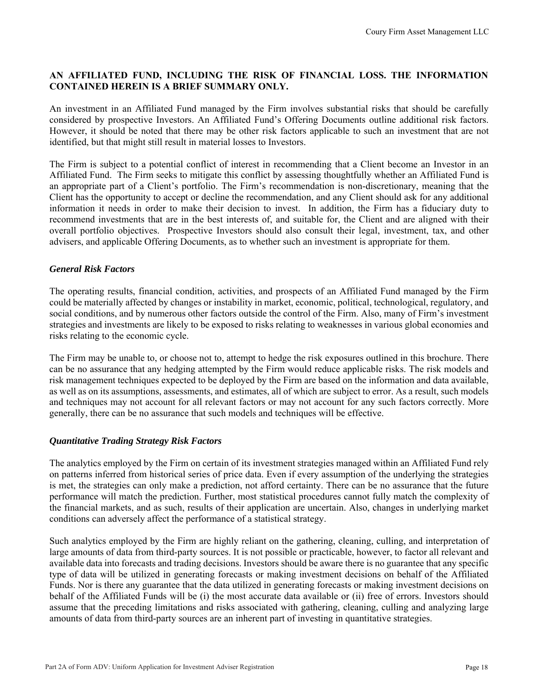#### **AN AFFILIATED FUND, INCLUDING THE RISK OF FINANCIAL LOSS. THE INFORMATION CONTAINED HEREIN IS A BRIEF SUMMARY ONLY.**

An investment in an Affiliated Fund managed by the Firm involves substantial risks that should be carefully considered by prospective Investors. An Affiliated Fund's Offering Documents outline additional risk factors. However, it should be noted that there may be other risk factors applicable to such an investment that are not identified, but that might still result in material losses to Investors.

The Firm is subject to a potential conflict of interest in recommending that a Client become an Investor in an Affiliated Fund. The Firm seeks to mitigate this conflict by assessing thoughtfully whether an Affiliated Fund is an appropriate part of a Client's portfolio. The Firm's recommendation is non-discretionary, meaning that the Client has the opportunity to accept or decline the recommendation, and any Client should ask for any additional information it needs in order to make their decision to invest. In addition, the Firm has a fiduciary duty to recommend investments that are in the best interests of, and suitable for, the Client and are aligned with their overall portfolio objectives. Prospective Investors should also consult their legal, investment, tax, and other advisers, and applicable Offering Documents, as to whether such an investment is appropriate for them.

#### *General Risk Factors*

The operating results, financial condition, activities, and prospects of an Affiliated Fund managed by the Firm could be materially affected by changes or instability in market, economic, political, technological, regulatory, and social conditions, and by numerous other factors outside the control of the Firm. Also, many of Firm's investment strategies and investments are likely to be exposed to risks relating to weaknesses in various global economies and risks relating to the economic cycle.

The Firm may be unable to, or choose not to, attempt to hedge the risk exposures outlined in this brochure. There can be no assurance that any hedging attempted by the Firm would reduce applicable risks. The risk models and risk management techniques expected to be deployed by the Firm are based on the information and data available, as well as on its assumptions, assessments, and estimates, all of which are subject to error. As a result, such models and techniques may not account for all relevant factors or may not account for any such factors correctly. More generally, there can be no assurance that such models and techniques will be effective.

#### *Quantitative Trading Strategy Risk Factors*

The analytics employed by the Firm on certain of its investment strategies managed within an Affiliated Fund rely on patterns inferred from historical series of price data. Even if every assumption of the underlying the strategies is met, the strategies can only make a prediction, not afford certainty. There can be no assurance that the future performance will match the prediction. Further, most statistical procedures cannot fully match the complexity of the financial markets, and as such, results of their application are uncertain. Also, changes in underlying market conditions can adversely affect the performance of a statistical strategy.

Such analytics employed by the Firm are highly reliant on the gathering, cleaning, culling, and interpretation of large amounts of data from third-party sources. It is not possible or practicable, however, to factor all relevant and available data into forecasts and trading decisions. Investors should be aware there is no guarantee that any specific type of data will be utilized in generating forecasts or making investment decisions on behalf of the Affiliated Funds. Nor is there any guarantee that the data utilized in generating forecasts or making investment decisions on behalf of the Affiliated Funds will be (i) the most accurate data available or (ii) free of errors. Investors should assume that the preceding limitations and risks associated with gathering, cleaning, culling and analyzing large amounts of data from third-party sources are an inherent part of investing in quantitative strategies.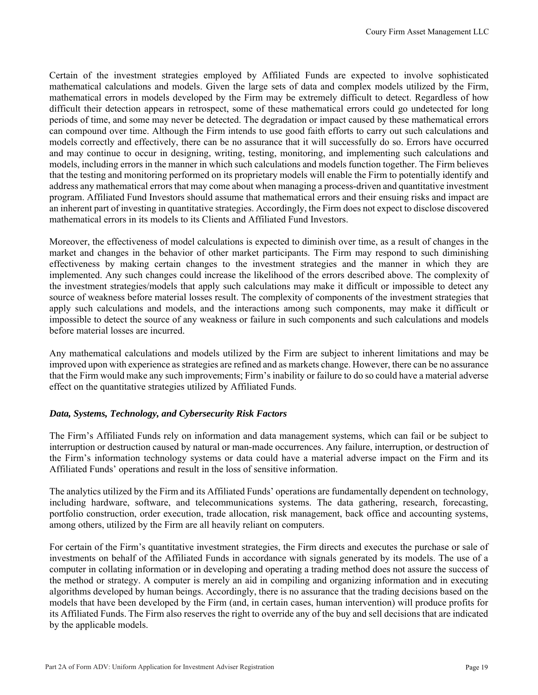Certain of the investment strategies employed by Affiliated Funds are expected to involve sophisticated mathematical calculations and models. Given the large sets of data and complex models utilized by the Firm, mathematical errors in models developed by the Firm may be extremely difficult to detect. Regardless of how difficult their detection appears in retrospect, some of these mathematical errors could go undetected for long periods of time, and some may never be detected. The degradation or impact caused by these mathematical errors can compound over time. Although the Firm intends to use good faith efforts to carry out such calculations and models correctly and effectively, there can be no assurance that it will successfully do so. Errors have occurred and may continue to occur in designing, writing, testing, monitoring, and implementing such calculations and models, including errors in the manner in which such calculations and models function together. The Firm believes that the testing and monitoring performed on its proprietary models will enable the Firm to potentially identify and address any mathematical errors that may come about when managing a process-driven and quantitative investment program. Affiliated Fund Investors should assume that mathematical errors and their ensuing risks and impact are an inherent part of investing in quantitative strategies. Accordingly, the Firm does not expect to disclose discovered mathematical errors in its models to its Clients and Affiliated Fund Investors.

Moreover, the effectiveness of model calculations is expected to diminish over time, as a result of changes in the market and changes in the behavior of other market participants. The Firm may respond to such diminishing effectiveness by making certain changes to the investment strategies and the manner in which they are implemented. Any such changes could increase the likelihood of the errors described above. The complexity of the investment strategies/models that apply such calculations may make it difficult or impossible to detect any source of weakness before material losses result. The complexity of components of the investment strategies that apply such calculations and models, and the interactions among such components, may make it difficult or impossible to detect the source of any weakness or failure in such components and such calculations and models before material losses are incurred.

Any mathematical calculations and models utilized by the Firm are subject to inherent limitations and may be improved upon with experience as strategies are refined and as markets change. However, there can be no assurance that the Firm would make any such improvements; Firm's inability or failure to do so could have a material adverse effect on the quantitative strategies utilized by Affiliated Funds.

#### *Data, Systems, Technology, and Cybersecurity Risk Factors*

The Firm's Affiliated Funds rely on information and data management systems, which can fail or be subject to interruption or destruction caused by natural or man-made occurrences. Any failure, interruption, or destruction of the Firm's information technology systems or data could have a material adverse impact on the Firm and its Affiliated Funds' operations and result in the loss of sensitive information.

The analytics utilized by the Firm and its Affiliated Funds' operations are fundamentally dependent on technology, including hardware, software, and telecommunications systems. The data gathering, research, forecasting, portfolio construction, order execution, trade allocation, risk management, back office and accounting systems, among others, utilized by the Firm are all heavily reliant on computers.

For certain of the Firm's quantitative investment strategies, the Firm directs and executes the purchase or sale of investments on behalf of the Affiliated Funds in accordance with signals generated by its models. The use of a computer in collating information or in developing and operating a trading method does not assure the success of the method or strategy. A computer is merely an aid in compiling and organizing information and in executing algorithms developed by human beings. Accordingly, there is no assurance that the trading decisions based on the models that have been developed by the Firm (and, in certain cases, human intervention) will produce profits for its Affiliated Funds. The Firm also reserves the right to override any of the buy and sell decisions that are indicated by the applicable models.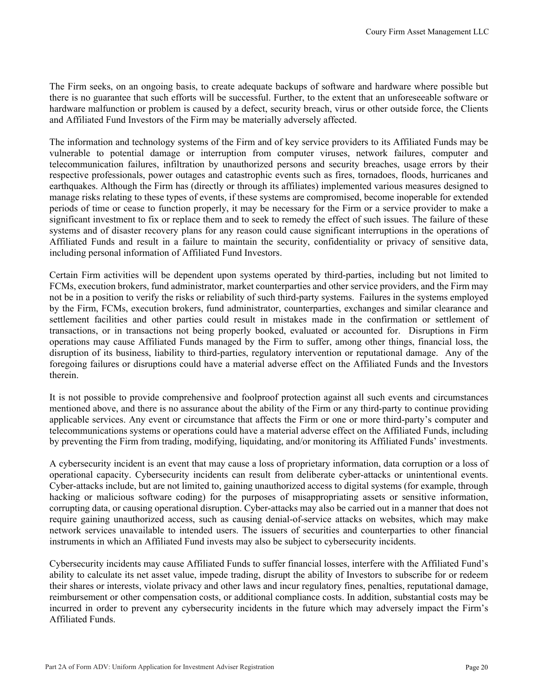The Firm seeks, on an ongoing basis, to create adequate backups of software and hardware where possible but there is no guarantee that such efforts will be successful. Further, to the extent that an unforeseeable software or hardware malfunction or problem is caused by a defect, security breach, virus or other outside force, the Clients and Affiliated Fund Investors of the Firm may be materially adversely affected.

The information and technology systems of the Firm and of key service providers to its Affiliated Funds may be vulnerable to potential damage or interruption from computer viruses, network failures, computer and telecommunication failures, infiltration by unauthorized persons and security breaches, usage errors by their respective professionals, power outages and catastrophic events such as fires, tornadoes, floods, hurricanes and earthquakes. Although the Firm has (directly or through its affiliates) implemented various measures designed to manage risks relating to these types of events, if these systems are compromised, become inoperable for extended periods of time or cease to function properly, it may be necessary for the Firm or a service provider to make a significant investment to fix or replace them and to seek to remedy the effect of such issues. The failure of these systems and of disaster recovery plans for any reason could cause significant interruptions in the operations of Affiliated Funds and result in a failure to maintain the security, confidentiality or privacy of sensitive data, including personal information of Affiliated Fund Investors.

Certain Firm activities will be dependent upon systems operated by third-parties, including but not limited to FCMs, execution brokers, fund administrator, market counterparties and other service providers, and the Firm may not be in a position to verify the risks or reliability of such third-party systems. Failures in the systems employed by the Firm, FCMs, execution brokers, fund administrator, counterparties, exchanges and similar clearance and settlement facilities and other parties could result in mistakes made in the confirmation or settlement of transactions, or in transactions not being properly booked, evaluated or accounted for. Disruptions in Firm operations may cause Affiliated Funds managed by the Firm to suffer, among other things, financial loss, the disruption of its business, liability to third-parties, regulatory intervention or reputational damage. Any of the foregoing failures or disruptions could have a material adverse effect on the Affiliated Funds and the Investors therein.

It is not possible to provide comprehensive and foolproof protection against all such events and circumstances mentioned above, and there is no assurance about the ability of the Firm or any third-party to continue providing applicable services. Any event or circumstance that affects the Firm or one or more third-party's computer and telecommunications systems or operations could have a material adverse effect on the Affiliated Funds, including by preventing the Firm from trading, modifying, liquidating, and/or monitoring its Affiliated Funds' investments.

A cybersecurity incident is an event that may cause a loss of proprietary information, data corruption or a loss of operational capacity. Cybersecurity incidents can result from deliberate cyber-attacks or unintentional events. Cyber-attacks include, but are not limited to, gaining unauthorized access to digital systems (for example, through hacking or malicious software coding) for the purposes of misappropriating assets or sensitive information, corrupting data, or causing operational disruption. Cyber-attacks may also be carried out in a manner that does not require gaining unauthorized access, such as causing denial-of-service attacks on websites, which may make network services unavailable to intended users. The issuers of securities and counterparties to other financial instruments in which an Affiliated Fund invests may also be subject to cybersecurity incidents.

Cybersecurity incidents may cause Affiliated Funds to suffer financial losses, interfere with the Affiliated Fund's ability to calculate its net asset value, impede trading, disrupt the ability of Investors to subscribe for or redeem their shares or interests, violate privacy and other laws and incur regulatory fines, penalties, reputational damage, reimbursement or other compensation costs, or additional compliance costs. In addition, substantial costs may be incurred in order to prevent any cybersecurity incidents in the future which may adversely impact the Firm's Affiliated Funds.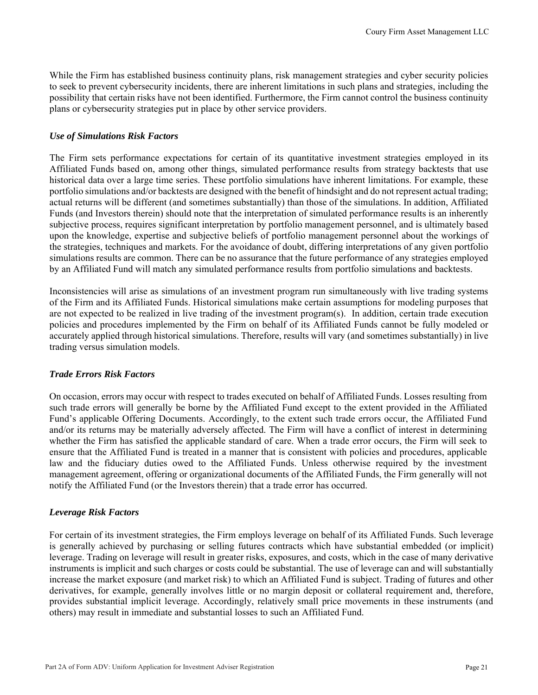While the Firm has established business continuity plans, risk management strategies and cyber security policies to seek to prevent cybersecurity incidents, there are inherent limitations in such plans and strategies, including the possibility that certain risks have not been identified. Furthermore, the Firm cannot control the business continuity plans or cybersecurity strategies put in place by other service providers.

#### *Use of Simulations Risk Factors*

The Firm sets performance expectations for certain of its quantitative investment strategies employed in its Affiliated Funds based on, among other things, simulated performance results from strategy backtests that use historical data over a large time series. These portfolio simulations have inherent limitations. For example, these portfolio simulations and/or backtests are designed with the benefit of hindsight and do not represent actual trading; actual returns will be different (and sometimes substantially) than those of the simulations. In addition, Affiliated Funds (and Investors therein) should note that the interpretation of simulated performance results is an inherently subjective process, requires significant interpretation by portfolio management personnel, and is ultimately based upon the knowledge, expertise and subjective beliefs of portfolio management personnel about the workings of the strategies, techniques and markets. For the avoidance of doubt, differing interpretations of any given portfolio simulations results are common. There can be no assurance that the future performance of any strategies employed by an Affiliated Fund will match any simulated performance results from portfolio simulations and backtests.

Inconsistencies will arise as simulations of an investment program run simultaneously with live trading systems of the Firm and its Affiliated Funds. Historical simulations make certain assumptions for modeling purposes that are not expected to be realized in live trading of the investment program(s). In addition, certain trade execution policies and procedures implemented by the Firm on behalf of its Affiliated Funds cannot be fully modeled or accurately applied through historical simulations. Therefore, results will vary (and sometimes substantially) in live trading versus simulation models.

#### *Trade Errors Risk Factors*

On occasion, errors may occur with respect to trades executed on behalf of Affiliated Funds. Losses resulting from such trade errors will generally be borne by the Affiliated Fund except to the extent provided in the Affiliated Fund's applicable Offering Documents. Accordingly, to the extent such trade errors occur, the Affiliated Fund and/or its returns may be materially adversely affected. The Firm will have a conflict of interest in determining whether the Firm has satisfied the applicable standard of care. When a trade error occurs, the Firm will seek to ensure that the Affiliated Fund is treated in a manner that is consistent with policies and procedures, applicable law and the fiduciary duties owed to the Affiliated Funds. Unless otherwise required by the investment management agreement, offering or organizational documents of the Affiliated Funds, the Firm generally will not notify the Affiliated Fund (or the Investors therein) that a trade error has occurred.

#### *Leverage Risk Factors*

For certain of its investment strategies, the Firm employs leverage on behalf of its Affiliated Funds. Such leverage is generally achieved by purchasing or selling futures contracts which have substantial embedded (or implicit) leverage. Trading on leverage will result in greater risks, exposures, and costs, which in the case of many derivative instruments is implicit and such charges or costs could be substantial. The use of leverage can and will substantially increase the market exposure (and market risk) to which an Affiliated Fund is subject. Trading of futures and other derivatives, for example, generally involves little or no margin deposit or collateral requirement and, therefore, provides substantial implicit leverage. Accordingly, relatively small price movements in these instruments (and others) may result in immediate and substantial losses to such an Affiliated Fund.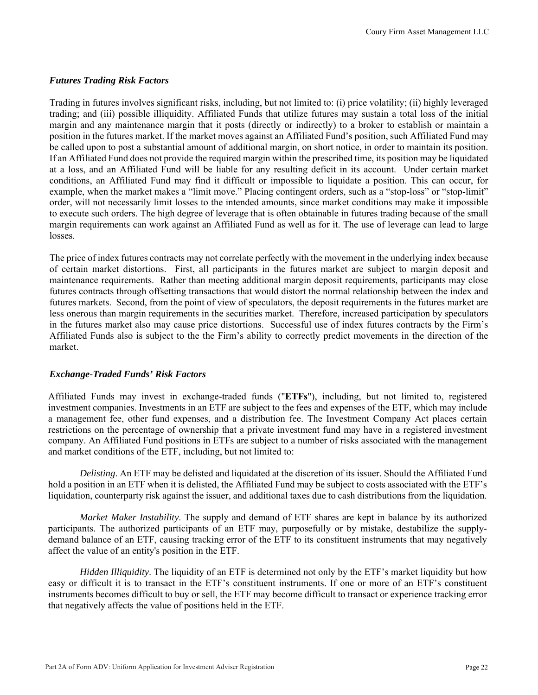#### *Futures Trading Risk Factors*

Trading in futures involves significant risks, including, but not limited to: (i) price volatility; (ii) highly leveraged trading; and (iii) possible illiquidity. Affiliated Funds that utilize futures may sustain a total loss of the initial margin and any maintenance margin that it posts (directly or indirectly) to a broker to establish or maintain a position in the futures market. If the market moves against an Affiliated Fund's position, such Affiliated Fund may be called upon to post a substantial amount of additional margin, on short notice, in order to maintain its position. If an Affiliated Fund does not provide the required margin within the prescribed time, its position may be liquidated at a loss, and an Affiliated Fund will be liable for any resulting deficit in its account. Under certain market conditions, an Affiliated Fund may find it difficult or impossible to liquidate a position. This can occur, for example, when the market makes a "limit move." Placing contingent orders, such as a "stop-loss" or "stop-limit" order, will not necessarily limit losses to the intended amounts, since market conditions may make it impossible to execute such orders. The high degree of leverage that is often obtainable in futures trading because of the small margin requirements can work against an Affiliated Fund as well as for it. The use of leverage can lead to large losses.

The price of index futures contracts may not correlate perfectly with the movement in the underlying index because of certain market distortions. First, all participants in the futures market are subject to margin deposit and maintenance requirements. Rather than meeting additional margin deposit requirements, participants may close futures contracts through offsetting transactions that would distort the normal relationship between the index and futures markets. Second, from the point of view of speculators, the deposit requirements in the futures market are less onerous than margin requirements in the securities market. Therefore, increased participation by speculators in the futures market also may cause price distortions. Successful use of index futures contracts by the Firm's Affiliated Funds also is subject to the the Firm's ability to correctly predict movements in the direction of the market.

## *Exchange-Traded Funds' Risk Factors*

Affiliated Funds may invest in exchange-traded funds ("**ETFs**"), including, but not limited to, registered investment companies. Investments in an ETF are subject to the fees and expenses of the ETF, which may include a management fee, other fund expenses, and a distribution fee. The Investment Company Act places certain restrictions on the percentage of ownership that a private investment fund may have in a registered investment company. An Affiliated Fund positions in ETFs are subject to a number of risks associated with the management and market conditions of the ETF, including, but not limited to:

*Delisting*. An ETF may be delisted and liquidated at the discretion of its issuer. Should the Affiliated Fund hold a position in an ETF when it is delisted, the Affiliated Fund may be subject to costs associated with the ETF's liquidation, counterparty risk against the issuer, and additional taxes due to cash distributions from the liquidation.

*Market Maker Instability*. The supply and demand of ETF shares are kept in balance by its authorized participants. The authorized participants of an ETF may, purposefully or by mistake, destabilize the supplydemand balance of an ETF, causing tracking error of the ETF to its constituent instruments that may negatively affect the value of an entity's position in the ETF.

*Hidden Illiquidity*. The liquidity of an ETF is determined not only by the ETF's market liquidity but how easy or difficult it is to transact in the ETF's constituent instruments. If one or more of an ETF's constituent instruments becomes difficult to buy or sell, the ETF may become difficult to transact or experience tracking error that negatively affects the value of positions held in the ETF.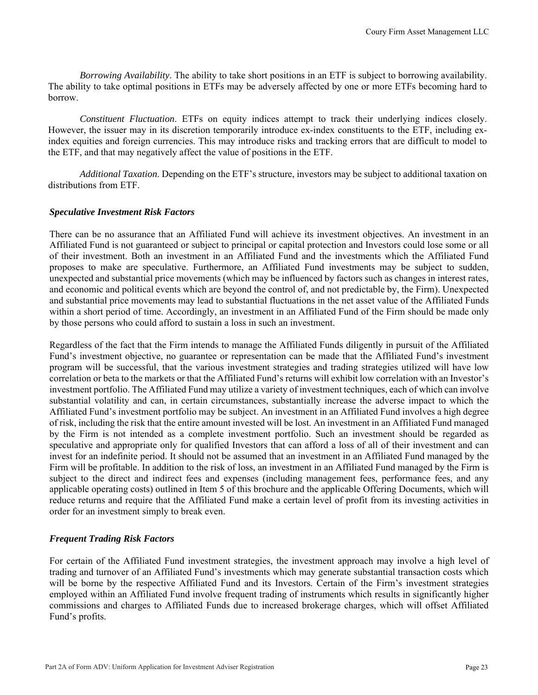*Borrowing Availability*. The ability to take short positions in an ETF is subject to borrowing availability. The ability to take optimal positions in ETFs may be adversely affected by one or more ETFs becoming hard to borrow.

*Constituent Fluctuation*. ETFs on equity indices attempt to track their underlying indices closely. However, the issuer may in its discretion temporarily introduce ex-index constituents to the ETF, including exindex equities and foreign currencies. This may introduce risks and tracking errors that are difficult to model to the ETF, and that may negatively affect the value of positions in the ETF.

*Additional Taxation*. Depending on the ETF's structure, investors may be subject to additional taxation on distributions from ETF.

#### *Speculative Investment Risk Factors*

There can be no assurance that an Affiliated Fund will achieve its investment objectives. An investment in an Affiliated Fund is not guaranteed or subject to principal or capital protection and Investors could lose some or all of their investment. Both an investment in an Affiliated Fund and the investments which the Affiliated Fund proposes to make are speculative. Furthermore, an Affiliated Fund investments may be subject to sudden, unexpected and substantial price movements (which may be influenced by factors such as changes in interest rates, and economic and political events which are beyond the control of, and not predictable by, the Firm). Unexpected and substantial price movements may lead to substantial fluctuations in the net asset value of the Affiliated Funds within a short period of time. Accordingly, an investment in an Affiliated Fund of the Firm should be made only by those persons who could afford to sustain a loss in such an investment.

Regardless of the fact that the Firm intends to manage the Affiliated Funds diligently in pursuit of the Affiliated Fund's investment objective, no guarantee or representation can be made that the Affiliated Fund's investment program will be successful, that the various investment strategies and trading strategies utilized will have low correlation or beta to the markets or that the Affiliated Fund's returns will exhibit low correlation with an Investor's investment portfolio. The Affiliated Fund may utilize a variety of investment techniques, each of which can involve substantial volatility and can, in certain circumstances, substantially increase the adverse impact to which the Affiliated Fund's investment portfolio may be subject. An investment in an Affiliated Fund involves a high degree of risk, including the risk that the entire amount invested will be lost. An investment in an Affiliated Fund managed by the Firm is not intended as a complete investment portfolio. Such an investment should be regarded as speculative and appropriate only for qualified Investors that can afford a loss of all of their investment and can invest for an indefinite period. It should not be assumed that an investment in an Affiliated Fund managed by the Firm will be profitable. In addition to the risk of loss, an investment in an Affiliated Fund managed by the Firm is subject to the direct and indirect fees and expenses (including management fees, performance fees, and any applicable operating costs) outlined in Item 5 of this brochure and the applicable Offering Documents, which will reduce returns and require that the Affiliated Fund make a certain level of profit from its investing activities in order for an investment simply to break even.

#### *Frequent Trading Risk Factors*

For certain of the Affiliated Fund investment strategies, the investment approach may involve a high level of trading and turnover of an Affiliated Fund's investments which may generate substantial transaction costs which will be borne by the respective Affiliated Fund and its Investors. Certain of the Firm's investment strategies employed within an Affiliated Fund involve frequent trading of instruments which results in significantly higher commissions and charges to Affiliated Funds due to increased brokerage charges, which will offset Affiliated Fund's profits.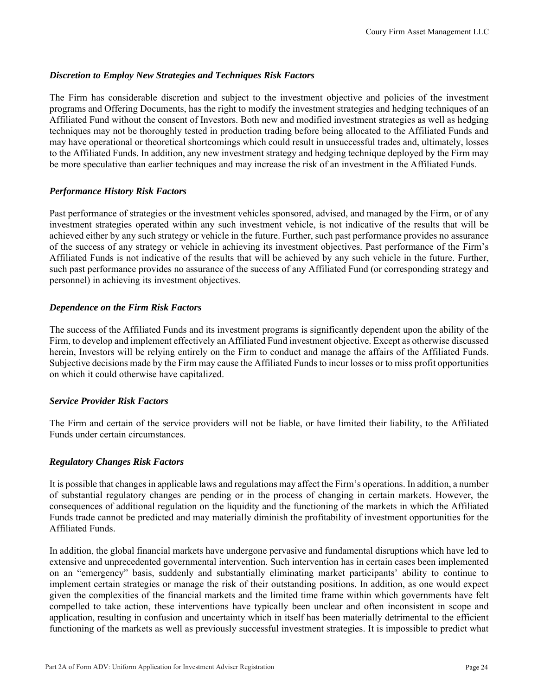#### *Discretion to Employ New Strategies and Techniques Risk Factors*

The Firm has considerable discretion and subject to the investment objective and policies of the investment programs and Offering Documents, has the right to modify the investment strategies and hedging techniques of an Affiliated Fund without the consent of Investors. Both new and modified investment strategies as well as hedging techniques may not be thoroughly tested in production trading before being allocated to the Affiliated Funds and may have operational or theoretical shortcomings which could result in unsuccessful trades and, ultimately, losses to the Affiliated Funds. In addition, any new investment strategy and hedging technique deployed by the Firm may be more speculative than earlier techniques and may increase the risk of an investment in the Affiliated Funds.

#### *Performance History Risk Factors*

Past performance of strategies or the investment vehicles sponsored, advised, and managed by the Firm, or of any investment strategies operated within any such investment vehicle, is not indicative of the results that will be achieved either by any such strategy or vehicle in the future. Further, such past performance provides no assurance of the success of any strategy or vehicle in achieving its investment objectives. Past performance of the Firm's Affiliated Funds is not indicative of the results that will be achieved by any such vehicle in the future. Further, such past performance provides no assurance of the success of any Affiliated Fund (or corresponding strategy and personnel) in achieving its investment objectives.

#### *Dependence on the Firm Risk Factors*

The success of the Affiliated Funds and its investment programs is significantly dependent upon the ability of the Firm, to develop and implement effectively an Affiliated Fund investment objective. Except as otherwise discussed herein, Investors will be relying entirely on the Firm to conduct and manage the affairs of the Affiliated Funds. Subjective decisions made by the Firm may cause the Affiliated Funds to incur losses or to miss profit opportunities on which it could otherwise have capitalized.

#### *Service Provider Risk Factors*

The Firm and certain of the service providers will not be liable, or have limited their liability, to the Affiliated Funds under certain circumstances.

#### *Regulatory Changes Risk Factors*

It is possible that changes in applicable laws and regulations may affect the Firm's operations. In addition, a number of substantial regulatory changes are pending or in the process of changing in certain markets. However, the consequences of additional regulation on the liquidity and the functioning of the markets in which the Affiliated Funds trade cannot be predicted and may materially diminish the profitability of investment opportunities for the Affiliated Funds.

In addition, the global financial markets have undergone pervasive and fundamental disruptions which have led to extensive and unprecedented governmental intervention. Such intervention has in certain cases been implemented on an "emergency" basis, suddenly and substantially eliminating market participants' ability to continue to implement certain strategies or manage the risk of their outstanding positions. In addition, as one would expect given the complexities of the financial markets and the limited time frame within which governments have felt compelled to take action, these interventions have typically been unclear and often inconsistent in scope and application, resulting in confusion and uncertainty which in itself has been materially detrimental to the efficient functioning of the markets as well as previously successful investment strategies. It is impossible to predict what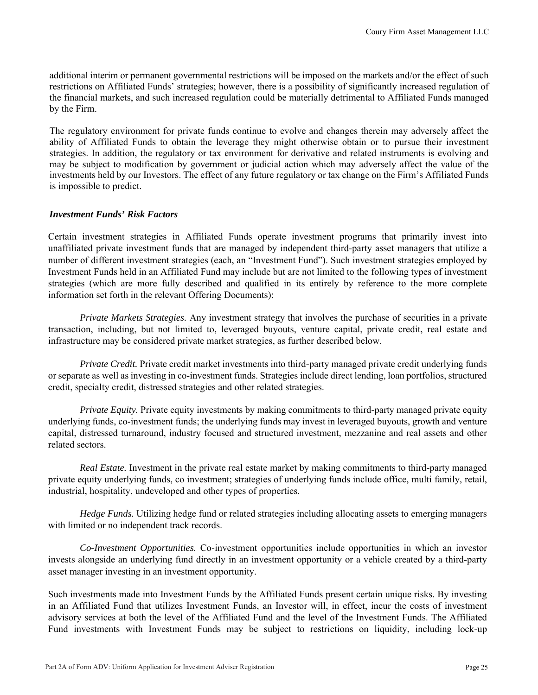additional interim or permanent governmental restrictions will be imposed on the markets and/or the effect of such restrictions on Affiliated Funds' strategies; however, there is a possibility of significantly increased regulation of the financial markets, and such increased regulation could be materially detrimental to Affiliated Funds managed by the Firm.

The regulatory environment for private funds continue to evolve and changes therein may adversely affect the ability of Affiliated Funds to obtain the leverage they might otherwise obtain or to pursue their investment strategies. In addition, the regulatory or tax environment for derivative and related instruments is evolving and may be subject to modification by government or judicial action which may adversely affect the value of the investments held by our Investors. The effect of any future regulatory or tax change on the Firm's Affiliated Funds is impossible to predict.

#### *Investment Funds' Risk Factors*

Certain investment strategies in Affiliated Funds operate investment programs that primarily invest into unaffiliated private investment funds that are managed by independent third-party asset managers that utilize a number of different investment strategies (each, an "Investment Fund"). Such investment strategies employed by Investment Funds held in an Affiliated Fund may include but are not limited to the following types of investment strategies (which are more fully described and qualified in its entirely by reference to the more complete information set forth in the relevant Offering Documents):

*Private Markets Strategies.* Any investment strategy that involves the purchase of securities in a private transaction, including, but not limited to, leveraged buyouts, venture capital, private credit, real estate and infrastructure may be considered private market strategies, as further described below.

*Private Credit.* Private credit market investments into third-party managed private credit underlying funds or separate as well as investing in co-investment funds. Strategies include direct lending, loan portfolios, structured credit, specialty credit, distressed strategies and other related strategies.

*Private Equity.* Private equity investments by making commitments to third-party managed private equity underlying funds, co-investment funds; the underlying funds may invest in leveraged buyouts, growth and venture capital, distressed turnaround, industry focused and structured investment, mezzanine and real assets and other related sectors.

*Real Estate.* Investment in the private real estate market by making commitments to third-party managed private equity underlying funds, co investment; strategies of underlying funds include office, multi family, retail, industrial, hospitality, undeveloped and other types of properties.

*Hedge Funds.* Utilizing hedge fund or related strategies including allocating assets to emerging managers with limited or no independent track records.

*Co-Investment Opportunities.* Co-investment opportunities include opportunities in which an investor invests alongside an underlying fund directly in an investment opportunity or a vehicle created by a third-party asset manager investing in an investment opportunity.

Such investments made into Investment Funds by the Affiliated Funds present certain unique risks. By investing in an Affiliated Fund that utilizes Investment Funds, an Investor will, in effect, incur the costs of investment advisory services at both the level of the Affiliated Fund and the level of the Investment Funds. The Affiliated Fund investments with Investment Funds may be subject to restrictions on liquidity, including lock-up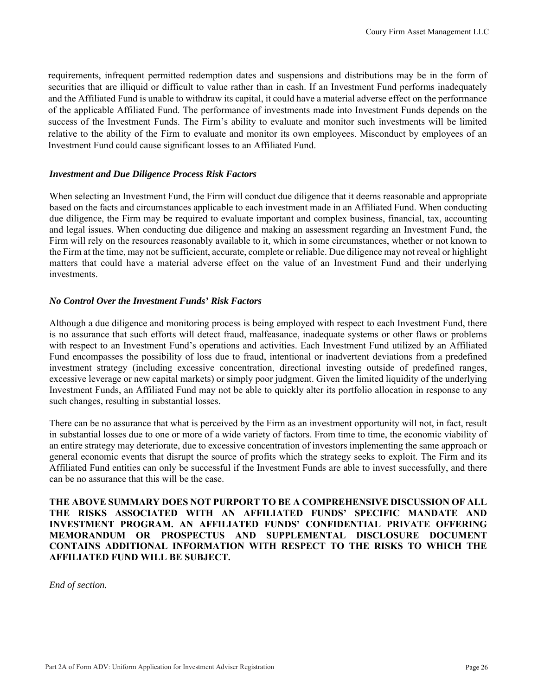requirements, infrequent permitted redemption dates and suspensions and distributions may be in the form of securities that are illiquid or difficult to value rather than in cash. If an Investment Fund performs inadequately and the Affiliated Fund is unable to withdraw its capital, it could have a material adverse effect on the performance of the applicable Affiliated Fund. The performance of investments made into Investment Funds depends on the success of the Investment Funds. The Firm's ability to evaluate and monitor such investments will be limited relative to the ability of the Firm to evaluate and monitor its own employees. Misconduct by employees of an Investment Fund could cause significant losses to an Affiliated Fund.

#### *Investment and Due Diligence Process Risk Factors*

When selecting an Investment Fund, the Firm will conduct due diligence that it deems reasonable and appropriate based on the facts and circumstances applicable to each investment made in an Affiliated Fund. When conducting due diligence, the Firm may be required to evaluate important and complex business, financial, tax, accounting and legal issues. When conducting due diligence and making an assessment regarding an Investment Fund, the Firm will rely on the resources reasonably available to it, which in some circumstances, whether or not known to the Firm at the time, may not be sufficient, accurate, complete or reliable. Due diligence may not reveal or highlight matters that could have a material adverse effect on the value of an Investment Fund and their underlying investments.

#### *No Control Over the Investment Funds' Risk Factors*

Although a due diligence and monitoring process is being employed with respect to each Investment Fund, there is no assurance that such efforts will detect fraud, malfeasance, inadequate systems or other flaws or problems with respect to an Investment Fund's operations and activities. Each Investment Fund utilized by an Affiliated Fund encompasses the possibility of loss due to fraud, intentional or inadvertent deviations from a predefined investment strategy (including excessive concentration, directional investing outside of predefined ranges, excessive leverage or new capital markets) or simply poor judgment. Given the limited liquidity of the underlying Investment Funds, an Affiliated Fund may not be able to quickly alter its portfolio allocation in response to any such changes, resulting in substantial losses.

There can be no assurance that what is perceived by the Firm as an investment opportunity will not, in fact, result in substantial losses due to one or more of a wide variety of factors. From time to time, the economic viability of an entire strategy may deteriorate, due to excessive concentration of investors implementing the same approach or general economic events that disrupt the source of profits which the strategy seeks to exploit. The Firm and its Affiliated Fund entities can only be successful if the Investment Funds are able to invest successfully, and there can be no assurance that this will be the case.

**THE ABOVE SUMMARY DOES NOT PURPORT TO BE A COMPREHENSIVE DISCUSSION OF ALL THE RISKS ASSOCIATED WITH AN AFFILIATED FUNDS' SPECIFIC MANDATE AND INVESTMENT PROGRAM. AN AFFILIATED FUNDS' CONFIDENTIAL PRIVATE OFFERING MEMORANDUM OR PROSPECTUS AND SUPPLEMENTAL DISCLOSURE DOCUMENT CONTAINS ADDITIONAL INFORMATION WITH RESPECT TO THE RISKS TO WHICH THE AFFILIATED FUND WILL BE SUBJECT.**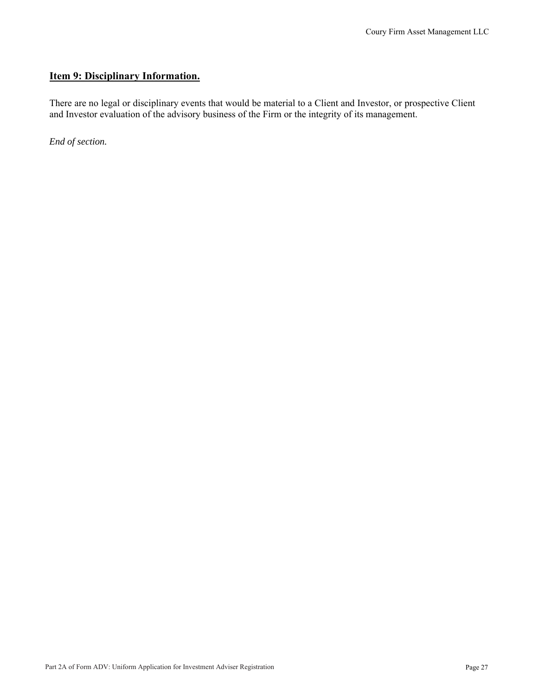## **Item 9: Disciplinary Information.**

There are no legal or disciplinary events that would be material to a Client and Investor, or prospective Client and Investor evaluation of the advisory business of the Firm or the integrity of its management.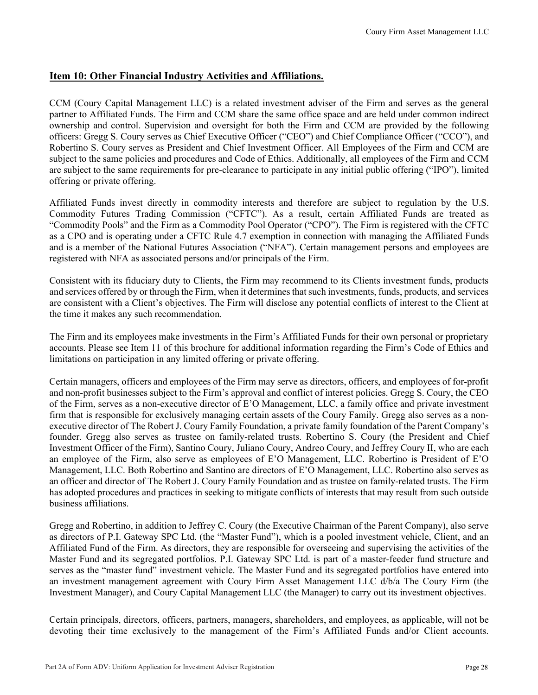## **Item 10: Other Financial Industry Activities and Affiliations.**

CCM (Coury Capital Management LLC) is a related investment adviser of the Firm and serves as the general partner to Affiliated Funds. The Firm and CCM share the same office space and are held under common indirect ownership and control. Supervision and oversight for both the Firm and CCM are provided by the following officers: Gregg S. Coury serves as Chief Executive Officer ("CEO") and Chief Compliance Officer ("CCO"), and Robertino S. Coury serves as President and Chief Investment Officer. All Employees of the Firm and CCM are subject to the same policies and procedures and Code of Ethics. Additionally, all employees of the Firm and CCM are subject to the same requirements for pre-clearance to participate in any initial public offering ("IPO"), limited offering or private offering.

Affiliated Funds invest directly in commodity interests and therefore are subject to regulation by the U.S. Commodity Futures Trading Commission ("CFTC"). As a result, certain Affiliated Funds are treated as "Commodity Pools" and the Firm as a Commodity Pool Operator ("CPO"). The Firm is registered with the CFTC as a CPO and is operating under a CFTC Rule 4.7 exemption in connection with managing the Affiliated Funds and is a member of the National Futures Association ("NFA"). Certain management persons and employees are registered with NFA as associated persons and/or principals of the Firm.

Consistent with its fiduciary duty to Clients, the Firm may recommend to its Clients investment funds, products and services offered by or through the Firm, when it determines that such investments, funds, products, and services are consistent with a Client's objectives. The Firm will disclose any potential conflicts of interest to the Client at the time it makes any such recommendation.

The Firm and its employees make investments in the Firm's Affiliated Funds for their own personal or proprietary accounts. Please see Item 11 of this brochure for additional information regarding the Firm's Code of Ethics and limitations on participation in any limited offering or private offering.

Certain managers, officers and employees of the Firm may serve as directors, officers, and employees of for-profit and non-profit businesses subject to the Firm's approval and conflict of interest policies. Gregg S. Coury, the CEO of the Firm, serves as a non-executive director of E'O Management, LLC, a family office and private investment firm that is responsible for exclusively managing certain assets of the Coury Family. Gregg also serves as a nonexecutive director of The Robert J. Coury Family Foundation, a private family foundation of the Parent Company's founder. Gregg also serves as trustee on family-related trusts. Robertino S. Coury (the President and Chief Investment Officer of the Firm), Santino Coury, Juliano Coury, Andreo Coury, and Jeffrey Coury II, who are each an employee of the Firm, also serve as employees of E'O Management, LLC. Robertino is President of E'O Management, LLC. Both Robertino and Santino are directors of E'O Management, LLC. Robertino also serves as an officer and director of The Robert J. Coury Family Foundation and as trustee on family-related trusts. The Firm has adopted procedures and practices in seeking to mitigate conflicts of interests that may result from such outside business affiliations.

Gregg and Robertino, in addition to Jeffrey C. Coury (the Executive Chairman of the Parent Company), also serve as directors of P.I. Gateway SPC Ltd. (the "Master Fund"), which is a pooled investment vehicle, Client, and an Affiliated Fund of the Firm. As directors, they are responsible for overseeing and supervising the activities of the Master Fund and its segregated portfolios. P.I. Gateway SPC Ltd. is part of a master-feeder fund structure and serves as the "master fund" investment vehicle. The Master Fund and its segregated portfolios have entered into an investment management agreement with Coury Firm Asset Management LLC d/b/a The Coury Firm (the Investment Manager), and Coury Capital Management LLC (the Manager) to carry out its investment objectives.

Certain principals, directors, officers, partners, managers, shareholders, and employees, as applicable, will not be devoting their time exclusively to the management of the Firm's Affiliated Funds and/or Client accounts.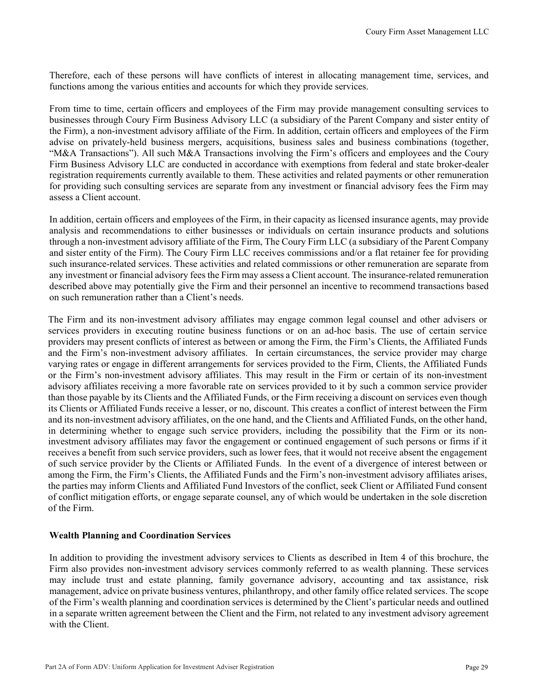Therefore, each of these persons will have conflicts of interest in allocating management time, services, and functions among the various entities and accounts for which they provide services.

From time to time, certain officers and employees of the Firm may provide management consulting services to businesses through Coury Firm Business Advisory LLC (a subsidiary of the Parent Company and sister entity of the Firm), a non-investment advisory affiliate of the Firm. In addition, certain officers and employees of the Firm advise on privately-held business mergers, acquisitions, business sales and business combinations (together, "M&A Transactions"). All such M&A Transactions involving the Firm's officers and employees and the Coury Firm Business Advisory LLC are conducted in accordance with exemptions from federal and state broker-dealer registration requirements currently available to them. These activities and related payments or other remuneration for providing such consulting services are separate from any investment or financial advisory fees the Firm may assess a Client account.

In addition, certain officers and employees of the Firm, in their capacity as licensed insurance agents, may provide analysis and recommendations to either businesses or individuals on certain insurance products and solutions through a non-investment advisory affiliate of the Firm, The Coury Firm LLC (a subsidiary of the Parent Company and sister entity of the Firm). The Coury Firm LLC receives commissions and/or a flat retainer fee for providing such insurance-related services. These activities and related commissions or other remuneration are separate from any investment or financial advisory fees the Firm may assess a Client account. The insurance-related remuneration described above may potentially give the Firm and their personnel an incentive to recommend transactions based on such remuneration rather than a Client's needs.

The Firm and its non-investment advisory affiliates may engage common legal counsel and other advisers or services providers in executing routine business functions or on an ad-hoc basis. The use of certain service providers may present conflicts of interest as between or among the Firm, the Firm's Clients, the Affiliated Funds and the Firm's non-investment advisory affiliates. In certain circumstances, the service provider may charge varying rates or engage in different arrangements for services provided to the Firm, Clients, the Affiliated Funds or the Firm's non-investment advisory affiliates. This may result in the Firm or certain of its non-investment advisory affiliates receiving a more favorable rate on services provided to it by such a common service provider than those payable by its Clients and the Affiliated Funds, or the Firm receiving a discount on services even though its Clients or Affiliated Funds receive a lesser, or no, discount. This creates a conflict of interest between the Firm and its non-investment advisory affiliates, on the one hand, and the Clients and Affiliated Funds, on the other hand, in determining whether to engage such service providers, including the possibility that the Firm or its noninvestment advisory affiliates may favor the engagement or continued engagement of such persons or firms if it receives a benefit from such service providers, such as lower fees, that it would not receive absent the engagement of such service provider by the Clients or Affiliated Funds. In the event of a divergence of interest between or among the Firm, the Firm's Clients, the Affiliated Funds and the Firm's non-investment advisory affiliates arises, the parties may inform Clients and Affiliated Fund Investors of the conflict, seek Client or Affiliated Fund consent of conflict mitigation efforts, or engage separate counsel, any of which would be undertaken in the sole discretion of the Firm.

#### **Wealth Planning and Coordination Services**

In addition to providing the investment advisory services to Clients as described in Item 4 of this brochure, the Firm also provides non-investment advisory services commonly referred to as wealth planning. These services may include trust and estate planning, family governance advisory, accounting and tax assistance, risk management, advice on private business ventures, philanthropy, and other family office related services. The scope of the Firm's wealth planning and coordination services is determined by the Client's particular needs and outlined in a separate written agreement between the Client and the Firm, not related to any investment advisory agreement with the Client.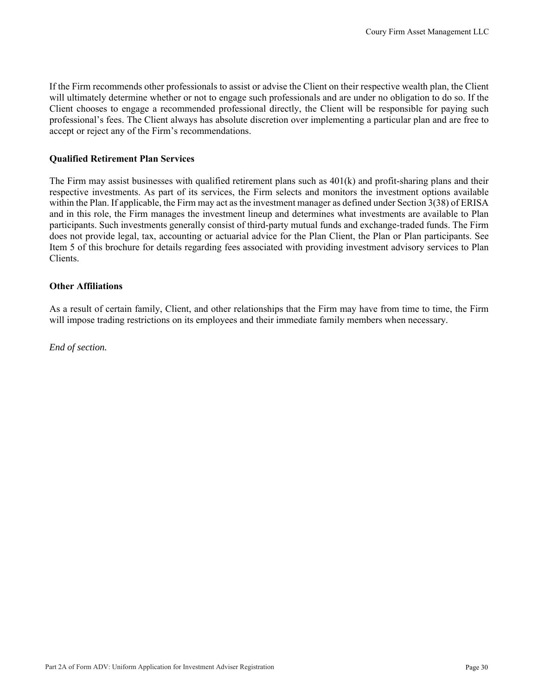If the Firm recommends other professionals to assist or advise the Client on their respective wealth plan, the Client will ultimately determine whether or not to engage such professionals and are under no obligation to do so. If the Client chooses to engage a recommended professional directly, the Client will be responsible for paying such professional's fees. The Client always has absolute discretion over implementing a particular plan and are free to accept or reject any of the Firm's recommendations.

#### **Qualified Retirement Plan Services**

The Firm may assist businesses with qualified retirement plans such as 401(k) and profit-sharing plans and their respective investments. As part of its services, the Firm selects and monitors the investment options available within the Plan. If applicable, the Firm may act as the investment manager as defined under Section 3(38) of ERISA and in this role, the Firm manages the investment lineup and determines what investments are available to Plan participants. Such investments generally consist of third-party mutual funds and exchange-traded funds. The Firm does not provide legal, tax, accounting or actuarial advice for the Plan Client, the Plan or Plan participants. See Item 5 of this brochure for details regarding fees associated with providing investment advisory services to Plan Clients.

#### **Other Affiliations**

As a result of certain family, Client, and other relationships that the Firm may have from time to time, the Firm will impose trading restrictions on its employees and their immediate family members when necessary.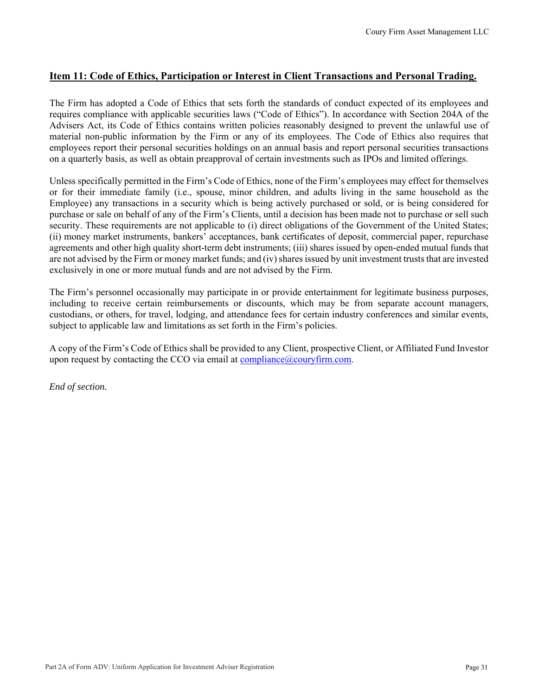## **Item 11: Code of Ethics, Participation or Interest in Client Transactions and Personal Trading.**

The Firm has adopted a Code of Ethics that sets forth the standards of conduct expected of its employees and requires compliance with applicable securities laws ("Code of Ethics"). In accordance with Section 204A of the Advisers Act, its Code of Ethics contains written policies reasonably designed to prevent the unlawful use of material non-public information by the Firm or any of its employees. The Code of Ethics also requires that employees report their personal securities holdings on an annual basis and report personal securities transactions on a quarterly basis, as well as obtain preapproval of certain investments such as IPOs and limited offerings.

Unless specifically permitted in the Firm's Code of Ethics, none of the Firm's employees may effect for themselves or for their immediate family (i.e., spouse, minor children, and adults living in the same household as the Employee) any transactions in a security which is being actively purchased or sold, or is being considered for purchase or sale on behalf of any of the Firm's Clients, until a decision has been made not to purchase or sell such security. These requirements are not applicable to (i) direct obligations of the Government of the United States; (ii) money market instruments, bankers' acceptances, bank certificates of deposit, commercial paper, repurchase agreements and other high quality short-term debt instruments; (iii) shares issued by open-ended mutual funds that are not advised by the Firm or money market funds; and (iv) shares issued by unit investment trusts that are invested exclusively in one or more mutual funds and are not advised by the Firm.

The Firm's personnel occasionally may participate in or provide entertainment for legitimate business purposes, including to receive certain reimbursements or discounts, which may be from separate account managers, custodians, or others, for travel, lodging, and attendance fees for certain industry conferences and similar events, subject to applicable law and limitations as set forth in the Firm's policies.

A copy of the Firm's Code of Ethics shall be provided to any Client, prospective Client, or Affiliated Fund Investor upon request by contacting the CCO via email at  $\overline{compliance}$   $@{\text{conv}}$  firm.com.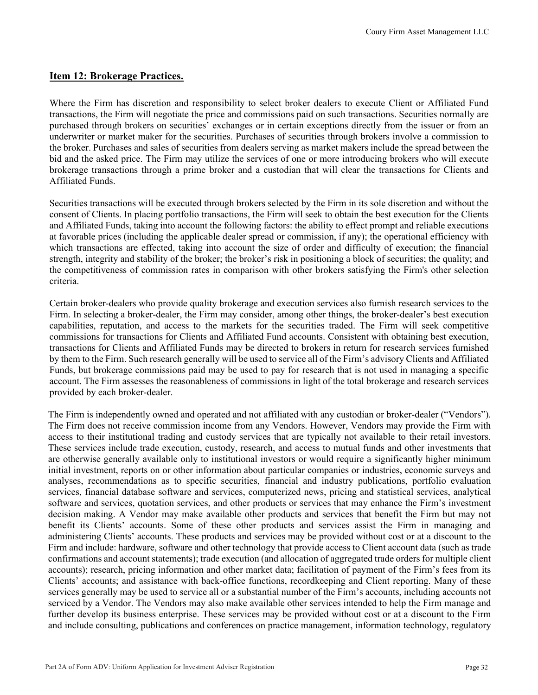#### **Item 12: Brokerage Practices.**

Where the Firm has discretion and responsibility to select broker dealers to execute Client or Affiliated Fund transactions, the Firm will negotiate the price and commissions paid on such transactions. Securities normally are purchased through brokers on securities' exchanges or in certain exceptions directly from the issuer or from an underwriter or market maker for the securities. Purchases of securities through brokers involve a commission to the broker. Purchases and sales of securities from dealers serving as market makers include the spread between the bid and the asked price. The Firm may utilize the services of one or more introducing brokers who will execute brokerage transactions through a prime broker and a custodian that will clear the transactions for Clients and Affiliated Funds.

Securities transactions will be executed through brokers selected by the Firm in its sole discretion and without the consent of Clients. In placing portfolio transactions, the Firm will seek to obtain the best execution for the Clients and Affiliated Funds, taking into account the following factors: the ability to effect prompt and reliable executions at favorable prices (including the applicable dealer spread or commission, if any); the operational efficiency with which transactions are effected, taking into account the size of order and difficulty of execution; the financial strength, integrity and stability of the broker; the broker's risk in positioning a block of securities; the quality; and the competitiveness of commission rates in comparison with other brokers satisfying the Firm's other selection criteria.

Certain broker-dealers who provide quality brokerage and execution services also furnish research services to the Firm. In selecting a broker-dealer, the Firm may consider, among other things, the broker-dealer's best execution capabilities, reputation, and access to the markets for the securities traded. The Firm will seek competitive commissions for transactions for Clients and Affiliated Fund accounts. Consistent with obtaining best execution, transactions for Clients and Affiliated Funds may be directed to brokers in return for research services furnished by them to the Firm. Such research generally will be used to service all of the Firm's advisory Clients and Affiliated Funds, but brokerage commissions paid may be used to pay for research that is not used in managing a specific account. The Firm assesses the reasonableness of commissions in light of the total brokerage and research services provided by each broker-dealer.

The Firm is independently owned and operated and not affiliated with any custodian or broker-dealer ("Vendors"). The Firm does not receive commission income from any Vendors. However, Vendors may provide the Firm with access to their institutional trading and custody services that are typically not available to their retail investors. These services include trade execution, custody, research, and access to mutual funds and other investments that are otherwise generally available only to institutional investors or would require a significantly higher minimum initial investment, reports on or other information about particular companies or industries, economic surveys and analyses, recommendations as to specific securities, financial and industry publications, portfolio evaluation services, financial database software and services, computerized news, pricing and statistical services, analytical software and services, quotation services, and other products or services that may enhance the Firm's investment decision making. A Vendor may make available other products and services that benefit the Firm but may not benefit its Clients' accounts. Some of these other products and services assist the Firm in managing and administering Clients' accounts. These products and services may be provided without cost or at a discount to the Firm and include: hardware, software and other technology that provide access to Client account data (such as trade confirmations and account statements); trade execution (and allocation of aggregated trade orders for multiple client accounts); research, pricing information and other market data; facilitation of payment of the Firm's fees from its Clients' accounts; and assistance with back-office functions, recordkeeping and Client reporting. Many of these services generally may be used to service all or a substantial number of the Firm's accounts, including accounts not serviced by a Vendor. The Vendors may also make available other services intended to help the Firm manage and further develop its business enterprise. These services may be provided without cost or at a discount to the Firm and include consulting, publications and conferences on practice management, information technology, regulatory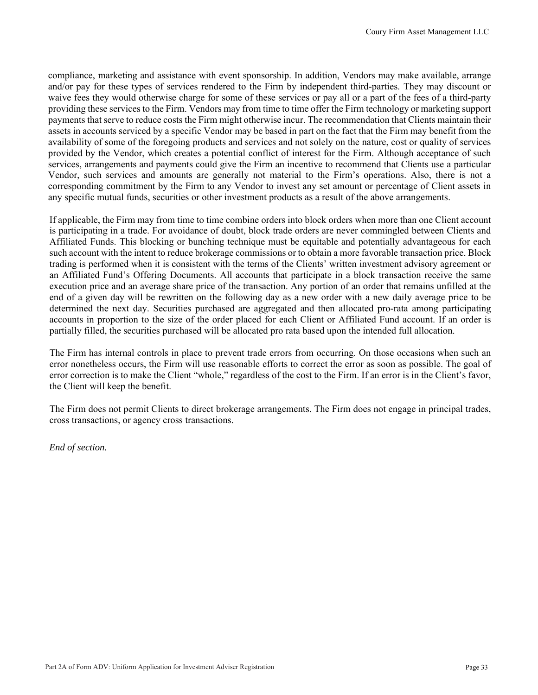compliance, marketing and assistance with event sponsorship. In addition, Vendors may make available, arrange and/or pay for these types of services rendered to the Firm by independent third-parties. They may discount or waive fees they would otherwise charge for some of these services or pay all or a part of the fees of a third-party providing these services to the Firm. Vendors may from time to time offer the Firm technology or marketing support payments that serve to reduce costs the Firm might otherwise incur. The recommendation that Clients maintain their assets in accounts serviced by a specific Vendor may be based in part on the fact that the Firm may benefit from the availability of some of the foregoing products and services and not solely on the nature, cost or quality of services provided by the Vendor, which creates a potential conflict of interest for the Firm. Although acceptance of such services, arrangements and payments could give the Firm an incentive to recommend that Clients use a particular Vendor, such services and amounts are generally not material to the Firm's operations. Also, there is not a corresponding commitment by the Firm to any Vendor to invest any set amount or percentage of Client assets in any specific mutual funds, securities or other investment products as a result of the above arrangements.

If applicable, the Firm may from time to time combine orders into block orders when more than one Client account is participating in a trade. For avoidance of doubt, block trade orders are never commingled between Clients and Affiliated Funds. This blocking or bunching technique must be equitable and potentially advantageous for each such account with the intent to reduce brokerage commissions or to obtain a more favorable transaction price. Block trading is performed when it is consistent with the terms of the Clients' written investment advisory agreement or an Affiliated Fund's Offering Documents. All accounts that participate in a block transaction receive the same execution price and an average share price of the transaction. Any portion of an order that remains unfilled at the end of a given day will be rewritten on the following day as a new order with a new daily average price to be determined the next day. Securities purchased are aggregated and then allocated pro-rata among participating accounts in proportion to the size of the order placed for each Client or Affiliated Fund account. If an order is partially filled, the securities purchased will be allocated pro rata based upon the intended full allocation.

The Firm has internal controls in place to prevent trade errors from occurring. On those occasions when such an error nonetheless occurs, the Firm will use reasonable efforts to correct the error as soon as possible. The goal of error correction is to make the Client "whole," regardless of the cost to the Firm. If an error is in the Client's favor, the Client will keep the benefit.

The Firm does not permit Clients to direct brokerage arrangements. The Firm does not engage in principal trades, cross transactions, or agency cross transactions.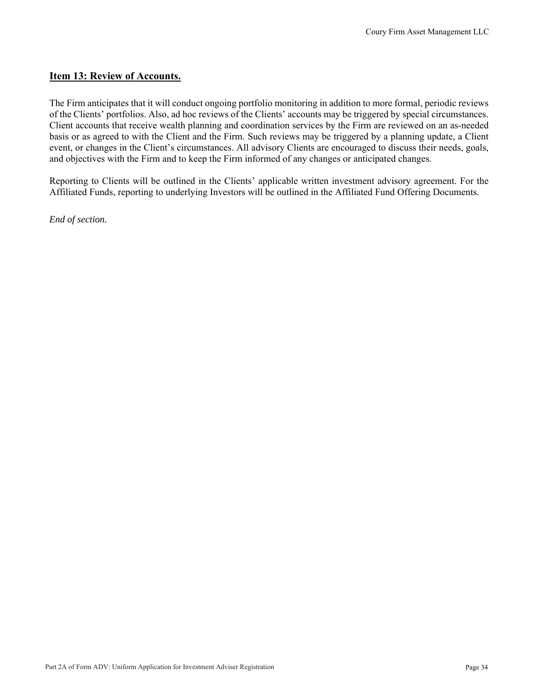#### **Item 13: Review of Accounts.**

The Firm anticipates that it will conduct ongoing portfolio monitoring in addition to more formal, periodic reviews of the Clients' portfolios. Also, ad hoc reviews of the Clients' accounts may be triggered by special circumstances. Client accounts that receive wealth planning and coordination services by the Firm are reviewed on an as-needed basis or as agreed to with the Client and the Firm. Such reviews may be triggered by a planning update, a Client event, or changes in the Client's circumstances. All advisory Clients are encouraged to discuss their needs, goals, and objectives with the Firm and to keep the Firm informed of any changes or anticipated changes.

Reporting to Clients will be outlined in the Clients' applicable written investment advisory agreement. For the Affiliated Funds, reporting to underlying Investors will be outlined in the Affiliated Fund Offering Documents.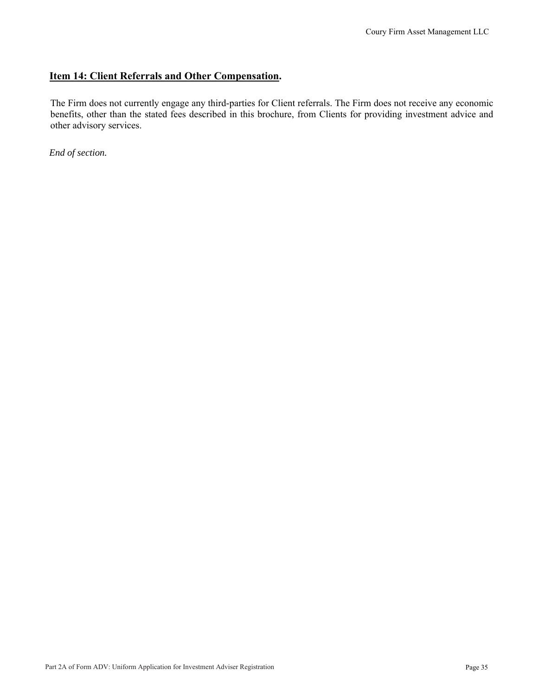## **Item 14: Client Referrals and Other Compensation.**

The Firm does not currently engage any third-parties for Client referrals. The Firm does not receive any economic benefits, other than the stated fees described in this brochure, from Clients for providing investment advice and other advisory services.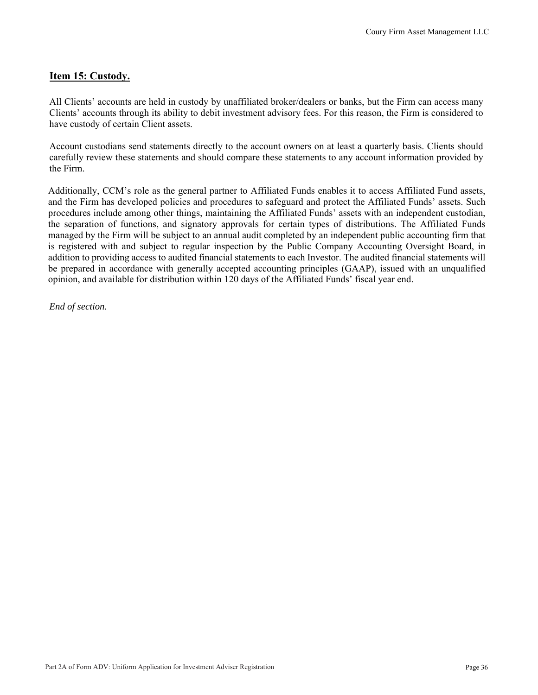## **Item 15: Custody.**

All Clients' accounts are held in custody by unaffiliated broker/dealers or banks, but the Firm can access many Clients' accounts through its ability to debit investment advisory fees. For this reason, the Firm is considered to have custody of certain Client assets.

Account custodians send statements directly to the account owners on at least a quarterly basis. Clients should carefully review these statements and should compare these statements to any account information provided by the Firm.

Additionally, CCM's role as the general partner to Affiliated Funds enables it to access Affiliated Fund assets, and the Firm has developed policies and procedures to safeguard and protect the Affiliated Funds' assets. Such procedures include among other things, maintaining the Affiliated Funds' assets with an independent custodian, the separation of functions, and signatory approvals for certain types of distributions. The Affiliated Funds managed by the Firm will be subject to an annual audit completed by an independent public accounting firm that is registered with and subject to regular inspection by the Public Company Accounting Oversight Board, in addition to providing access to audited financial statements to each Investor. The audited financial statements will be prepared in accordance with generally accepted accounting principles (GAAP), issued with an unqualified opinion, and available for distribution within 120 days of the Affiliated Funds' fiscal year end.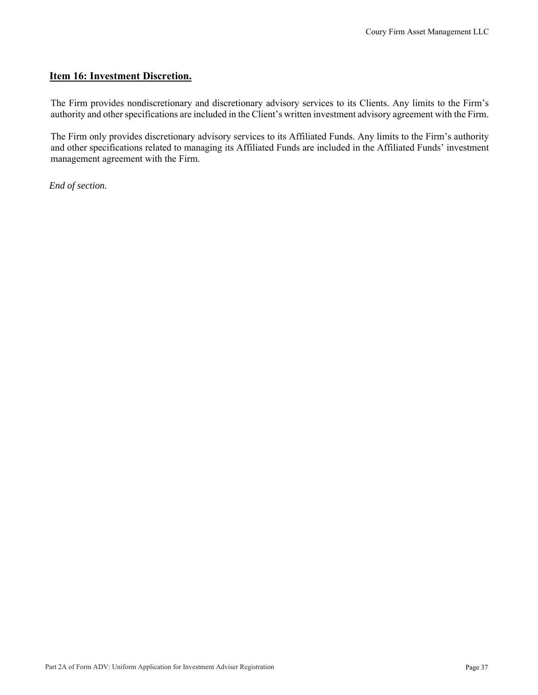## **Item 16: Investment Discretion.**

The Firm provides nondiscretionary and discretionary advisory services to its Clients. Any limits to the Firm's authority and other specifications are included in the Client's written investment advisory agreement with the Firm.

The Firm only provides discretionary advisory services to its Affiliated Funds. Any limits to the Firm's authority and other specifications related to managing its Affiliated Funds are included in the Affiliated Funds' investment management agreement with the Firm.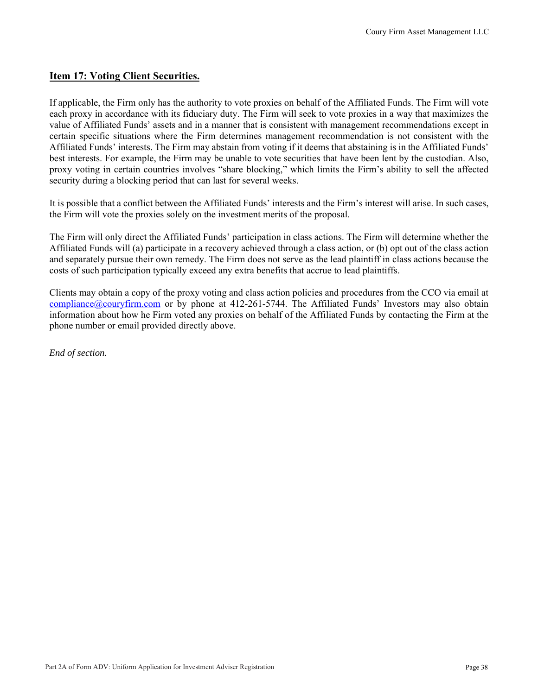#### **Item 17: Voting Client Securities.**

If applicable, the Firm only has the authority to vote proxies on behalf of the Affiliated Funds. The Firm will vote each proxy in accordance with its fiduciary duty. The Firm will seek to vote proxies in a way that maximizes the value of Affiliated Funds' assets and in a manner that is consistent with management recommendations except in certain specific situations where the Firm determines management recommendation is not consistent with the Affiliated Funds' interests. The Firm may abstain from voting if it deems that abstaining is in the Affiliated Funds' best interests. For example, the Firm may be unable to vote securities that have been lent by the custodian. Also, proxy voting in certain countries involves "share blocking," which limits the Firm's ability to sell the affected security during a blocking period that can last for several weeks.

It is possible that a conflict between the Affiliated Funds' interests and the Firm's interest will arise. In such cases, the Firm will vote the proxies solely on the investment merits of the proposal.

The Firm will only direct the Affiliated Funds' participation in class actions. The Firm will determine whether the Affiliated Funds will (a) participate in a recovery achieved through a class action, or (b) opt out of the class action and separately pursue their own remedy. The Firm does not serve as the lead plaintiff in class actions because the costs of such participation typically exceed any extra benefits that accrue to lead plaintiffs.

Clients may obtain a copy of the proxy voting and class action policies and procedures from the CCO via email at  $compliance@couryfirm.com$  or by phone at 412-261-5744. The Affiliated Funds' Investors may also obtain information about how he Firm voted any proxies on behalf of the Affiliated Funds by contacting the Firm at the phone number or email provided directly above.